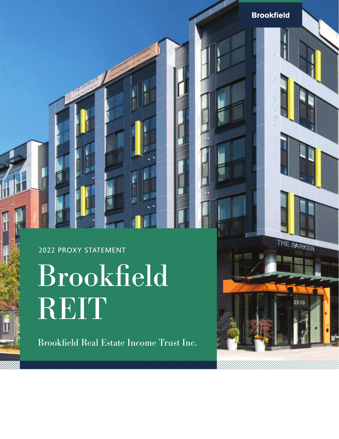Brookfield REIT 2022 PROXY STATEMENT

Brookfield Real Estate Income Trust Inc.

**Brookfield** 

THE PARKER

 $25.56$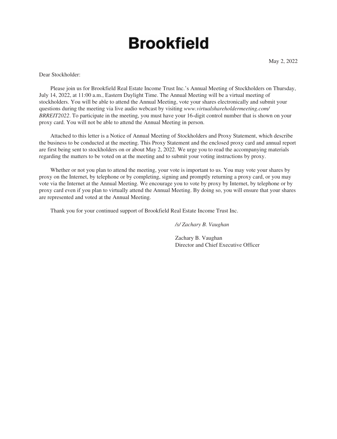## **Brookfield**

Dear Stockholder:

Please join us for Brookfield Real Estate Income Trust Inc.'s Annual Meeting of Stockholders on Thursday, July 14, 2022, at 11:00 a.m., Eastern Daylight Time. The Annual Meeting will be a virtual meeting of stockholders. You will be able to attend the Annual Meeting, vote your shares electronically and submit your questions during the meeting via live audio webcast by visiting *www.virtualshareholdermeeting.com/ BRREIT2022*. To participate in the meeting, you must have your 16-digit control number that is shown on your proxy card. You will not be able to attend the Annual Meeting in person.

Attached to this letter is a Notice of Annual Meeting of Stockholders and Proxy Statement, which describe the business to be conducted at the meeting. This Proxy Statement and the enclosed proxy card and annual report are first being sent to stockholders on or about May 2, 2022. We urge you to read the accompanying materials regarding the matters to be voted on at the meeting and to submit your voting instructions by proxy.

Whether or not you plan to attend the meeting, your vote is important to us. You may vote your shares by proxy on the Internet, by telephone or by completing, signing and promptly returning a proxy card, or you may vote via the Internet at the Annual Meeting. We encourage you to vote by proxy by Internet, by telephone or by proxy card even if you plan to virtually attend the Annual Meeting. By doing so, you will ensure that your shares are represented and voted at the Annual Meeting.

Thank you for your continued support of Brookfield Real Estate Income Trust Inc.

*/s/ Zachary B. Vaughan*

Zachary B. Vaughan Director and Chief Executive Officer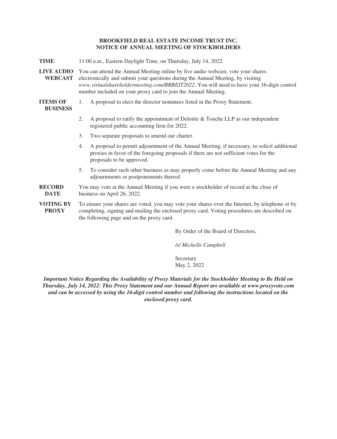#### **BROOKFIELD REAL ESTATE INCOME TRUST INC. NOTICE OF ANNUAL MEETING OF STOCKHOLDERS**

- **TIME** 11:00 a.m., Eastern Daylight Time, on Thursday, July 14, 2022
- **LIVE AUDIO** You can attend the Annual Meeting online by live audio webcast, vote your shares WEBCAST electronically and submit your questions during the Annual Meeting, by visiting *www.virtualshareholdermeeting.com/BRREIT2022*. You will need to have your 16-digit control number included on your proxy card to join the Annual Meeting.
- **ITEMS OF**
- 1. A proposal to elect the director nominees listed in the Proxy Statement.
- **BUSINESS**
- 2. A proposal to ratify the appointment of Deloitte & Touche LLP as our independent registered public accounting firm for 2022.
- 3. Two separate proposals to amend our charter.
- 4. A proposal to permit adjournment of the Annual Meeting, if necessary, to solicit additional proxies in favor of the foregoing proposals if there are not sufficient votes for the proposals to be approved.
- 5. To consider such other business as may properly come before the Annual Meeting and any adjournments or postponements thereof.
- **RECORD DATE** You may vote at the Annual Meeting if you were a stockholder of record at the close of business on April 26, 2022.
- **VOTING BY PROXY** To ensure your shares are voted, you may vote your shares over the Internet, by telephone or by completing, signing and mailing the enclosed proxy card. Voting procedures are described on the following page and on the proxy card.

By Order of the Board of Directors,

*/s/ Michelle Campbell*

Secretary May 2, 2022

*Important Notice Regarding the Availability of Proxy Materials for the Stockholder Meeting to Be Held on Thursday, July 14, 2022: This Proxy Statement and our Annual Report are available at www.proxyvote.com and can be accessed by using the 16-digit control number and following the instructions located on the enclosed proxy card.*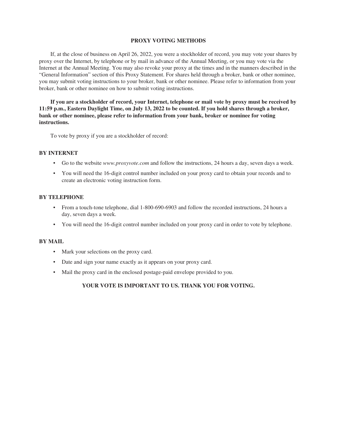#### **PROXY VOTING METHODS**

If, at the close of business on April 26, 2022, you were a stockholder of record, you may vote your shares by proxy over the Internet, by telephone or by mail in advance of the Annual Meeting, or you may vote via the Internet at the Annual Meeting. You may also revoke your proxy at the times and in the manners described in the "General Information" section of this Proxy Statement. For shares held through a broker, bank or other nominee, you may submit voting instructions to your broker, bank or other nominee. Please refer to information from your broker, bank or other nominee on how to submit voting instructions.

**If you are a stockholder of record, your Internet, telephone or mail vote by proxy must be received by 11:59 p.m., Eastern Daylight Time, on July 13, 2022 to be counted. If you hold shares through a broker, bank or other nominee, please refer to information from your bank, broker or nominee for voting instructions.**

To vote by proxy if you are a stockholder of record:

#### **BY INTERNET**

- Go to the website *www.proxyvote.com* and follow the instructions, 24 hours a day, seven days a week.
- You will need the 16-digit control number included on your proxy card to obtain your records and to create an electronic voting instruction form.

#### **BY TELEPHONE**

- From a touch-tone telephone, dial 1-800-690-6903 and follow the recorded instructions, 24 hours a day, seven days a week.
- You will need the 16-digit control number included on your proxy card in order to vote by telephone.

#### **BY MAIL**

- Mark your selections on the proxy card.
- Date and sign your name exactly as it appears on your proxy card.
- Mail the proxy card in the enclosed postage-paid envelope provided to you.

#### **YOUR VOTE IS IMPORTANT TO US. THANK YOU FOR VOTING.**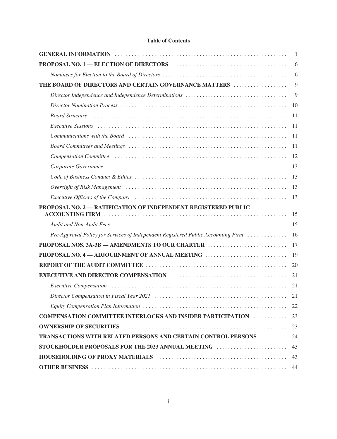#### **Table of Contents**

|                                                                                                                                                                                                                                | -1 |
|--------------------------------------------------------------------------------------------------------------------------------------------------------------------------------------------------------------------------------|----|
|                                                                                                                                                                                                                                | 6  |
|                                                                                                                                                                                                                                | 6  |
| THE BOARD OF DIRECTORS AND CERTAIN GOVERNANCE MATTERS                                                                                                                                                                          | 9  |
|                                                                                                                                                                                                                                | 9  |
|                                                                                                                                                                                                                                | 10 |
|                                                                                                                                                                                                                                | 11 |
| Executive Sessions (also contained a series of the series of the series of the series of the series of the series of the series of the series of the series of the series of the series of the series of the series of the ser | 11 |
| Communications with the Board (and the state of the state of the state of the state of the state of the state of the state of the state of the state of the state of the state of the state of the state of the state of the s | 11 |
| Board Committees and Meetings (and according to the control of the state of the state of the state of the state of the state of the state of the state of the state of the state of the state of the state of the state of the | 11 |
|                                                                                                                                                                                                                                | 12 |
|                                                                                                                                                                                                                                | 13 |
|                                                                                                                                                                                                                                | 13 |
| Oversight of Risk Management (a) material contains the set of the set of Risk Management (b) and the set of the set of the set of the set of the set of the set of the set of the set of the set of the set of the set of the  | 13 |
|                                                                                                                                                                                                                                | 13 |
| PROPOSAL NO. 2 - RATIFICATION OF INDEPENDENT REGISTERED PUBLIC                                                                                                                                                                 | 15 |
|                                                                                                                                                                                                                                | 15 |
| Pre-Approval Policy for Services of Independent Registered Public Accounting Firm                                                                                                                                              | 16 |
| <b>PROPOSAL NOS. 3A-3B - AMENDMENTS TO OUR CHARTER </b>                                                                                                                                                                        | 17 |
| <b>PROPOSAL NO. 4 - ADJOURNMENT OF ANNUAL MEETING</b>                                                                                                                                                                          | 19 |
|                                                                                                                                                                                                                                | 20 |
|                                                                                                                                                                                                                                | 21 |
|                                                                                                                                                                                                                                | 21 |
|                                                                                                                                                                                                                                | 21 |
|                                                                                                                                                                                                                                | 22 |
| <b>COMPENSATION COMMITTEE INTERLOCKS AND INSIDER PARTICIPATION </b>                                                                                                                                                            | 23 |
|                                                                                                                                                                                                                                | 23 |
| TRANSACTIONS WITH RELATED PERSONS AND CERTAIN CONTROL PERSONS                                                                                                                                                                  | 24 |
| STOCKHOLDER PROPOSALS FOR THE 2023 ANNUAL MEETING                                                                                                                                                                              | 43 |
|                                                                                                                                                                                                                                | 43 |
|                                                                                                                                                                                                                                |    |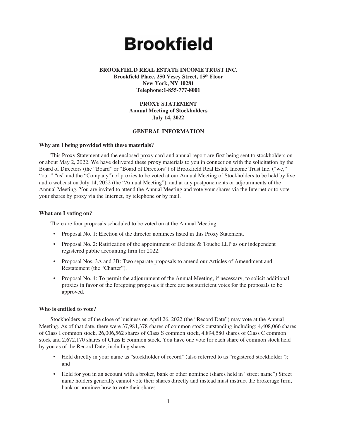# **Brookfield**

#### **BROOKFIELD REAL ESTATE INCOME TRUST INC.**

**Brookfield Place, 250 Vesey Street, 15th Floor New York, NY 10281 Telephone:1-855-777-8001**

#### **PROXY STATEMENT Annual Meeting of Stockholders July 14, 2022**

#### **GENERAL INFORMATION**

#### <span id="page-7-0"></span>**Why am I being provided with these materials?**

This Proxy Statement and the enclosed proxy card and annual report are first being sent to stockholders on or about May 2, 2022. We have delivered these proxy materials to you in connection with the solicitation by the Board of Directors (the "Board" or "Board of Directors") of Brookfield Real Estate Income Trust Inc. ("we," "our," "us" and the "Company") of proxies to be voted at our Annual Meeting of Stockholders to be held by live audio webcast on July 14, 2022 (the "Annual Meeting"), and at any postponements or adjournments of the Annual Meeting. You are invited to attend the Annual Meeting and vote your shares via the Internet or to vote your shares by proxy via the Internet, by telephone or by mail.

#### **What am I voting on?**

There are four proposals scheduled to be voted on at the Annual Meeting:

- Proposal No. 1: Election of the director nominees listed in this Proxy Statement.
- Proposal No. 2: Ratification of the appointment of Deloitte & Touche LLP as our independent registered public accounting firm for 2022.
- Proposal Nos. 3A and 3B: Two separate proposals to amend our Articles of Amendment and Restatement (the "Charter").
- Proposal No. 4: To permit the adjournment of the Annual Meeting, if necessary, to solicit additional proxies in favor of the foregoing proposals if there are not sufficient votes for the proposals to be approved.

#### **Who is entitled to vote?**

Stockholders as of the close of business on April 26, 2022 (the "Record Date") may vote at the Annual Meeting. As of that date, there were 37,981,378 shares of common stock outstanding including: 4,408,066 shares of Class I common stock, 26,006,562 shares of Class S common stock, 4,894,580 shares of Class C common stock and 2,672,170 shares of Class E common stock. You have one vote for each share of common stock held by you as of the Record Date, including shares:

- Held directly in your name as "stockholder of record" (also referred to as "registered stockholder"); and
- Held for you in an account with a broker, bank or other nominee (shares held in "street name") Street name holders generally cannot vote their shares directly and instead must instruct the brokerage firm, bank or nominee how to vote their shares.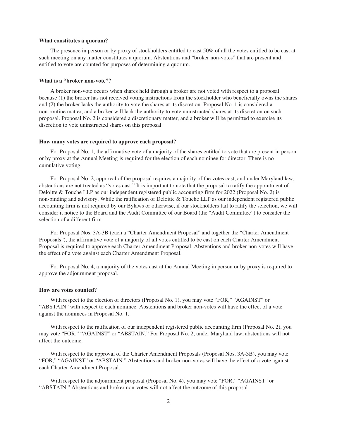#### **What constitutes a quorum?**

The presence in person or by proxy of stockholders entitled to cast 50% of all the votes entitled to be cast at such meeting on any matter constitutes a quorum. Abstentions and "broker non-votes" that are present and entitled to vote are counted for purposes of determining a quorum.

#### **What is a "broker non-vote"?**

A broker non-vote occurs when shares held through a broker are not voted with respect to a proposal because (1) the broker has not received voting instructions from the stockholder who beneficially owns the shares and (2) the broker lacks the authority to vote the shares at its discretion. Proposal No. 1 is considered a non-routine matter, and a broker will lack the authority to vote uninstructed shares at its discretion on such proposal. Proposal No. 2 is considered a discretionary matter, and a broker will be permitted to exercise its discretion to vote uninstructed shares on this proposal.

#### **How many votes are required to approve each proposal?**

For Proposal No. 1, the affirmative vote of a majority of the shares entitled to vote that are present in person or by proxy at the Annual Meeting is required for the election of each nominee for director. There is no cumulative voting.

For Proposal No. 2, approval of the proposal requires a majority of the votes cast, and under Maryland law, abstentions are not treated as "votes cast." It is important to note that the proposal to ratify the appointment of Deloitte & Touche LLP as our independent registered public accounting firm for 2022 (Proposal No. 2) is non-binding and advisory. While the ratification of Deloitte & Touche LLP as our independent registered public accounting firm is not required by our Bylaws or otherwise, if our stockholders fail to ratify the selection, we will consider it notice to the Board and the Audit Committee of our Board (the "Audit Committee") to consider the selection of a different firm.

For Proposal Nos. 3A-3B (each a "Charter Amendment Proposal" and together the "Charter Amendment Proposals"), the affirmative vote of a majority of all votes entitled to be cast on each Charter Amendment Proposal is required to approve each Charter Amendment Proposal. Abstentions and broker non-votes will have the effect of a vote against each Charter Amendment Proposal.

For Proposal No. 4, a majority of the votes cast at the Annual Meeting in person or by proxy is required to approve the adjournment proposal.

#### **How are votes counted?**

With respect to the election of directors (Proposal No. 1), you may vote "FOR," "AGAINST" or "ABSTAIN" with respect to each nominee. Abstentions and broker non-votes will have the effect of a vote against the nominees in Proposal No. 1.

With respect to the ratification of our independent registered public accounting firm (Proposal No. 2), you may vote "FOR," "AGAINST" or "ABSTAIN." For Proposal No. 2, under Maryland law, abstentions will not affect the outcome.

With respect to the approval of the Charter Amendment Proposals (Proposal Nos. 3A-3B), you may vote "FOR," "AGAINST" or "ABSTAIN." Abstentions and broker non-votes will have the effect of a vote against each Charter Amendment Proposal.

With respect to the adjournment proposal (Proposal No. 4), you may vote "FOR," "AGAINST" or "ABSTAIN." Abstentions and broker non-votes will not affect the outcome of this proposal.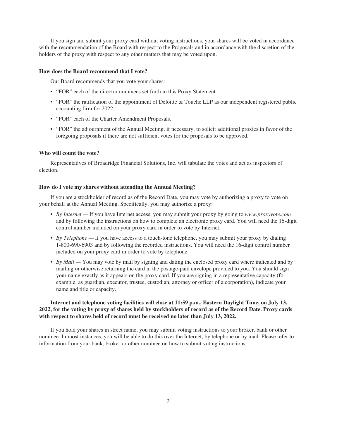If you sign and submit your proxy card without voting instructions, your shares will be voted in accordance with the recommendation of the Board with respect to the Proposals and in accordance with the discretion of the holders of the proxy with respect to any other matters that may be voted upon.

#### **How does the Board recommend that I vote?**

Our Board recommends that you vote your shares:

- "FOR" each of the director nominees set forth in this Proxy Statement.
- "FOR" the ratification of the appointment of Deloitte & Touche LLP as our independent registered public accounting firm for 2022.
- "FOR" each of the Charter Amendment Proposals.
- "FOR" the adjournment of the Annual Meeting, if necessary, to solicit additional proxies in favor of the foregoing proposals if there are not sufficient votes for the proposals to be approved.

#### **Who will count the vote?**

Representatives of Broadridge Financial Solutions, Inc. will tabulate the votes and act as inspectors of election.

#### **How do I vote my shares without attending the Annual Meeting?**

If you are a stockholder of record as of the Record Date, you may vote by authorizing a proxy to vote on your behalf at the Annual Meeting. Specifically, you may authorize a proxy:

- *By Internet —* If you have Internet access, you may submit your proxy by going to *www.proxyvote.com* and by following the instructions on how to complete an electronic proxy card. You will need the 16-digit control number included on your proxy card in order to vote by Internet.
- *By Telephone —* If you have access to a touch-tone telephone, you may submit your proxy by dialing 1-800-690-6903 and by following the recorded instructions. You will need the 16-digit control number included on your proxy card in order to vote by telephone.
- *By Mail* You may vote by mail by signing and dating the enclosed proxy card where indicated and by mailing or otherwise returning the card in the postage-paid envelope provided to you. You should sign your name exactly as it appears on the proxy card. If you are signing in a representative capacity (for example, as guardian, executor, trustee, custodian, attorney or officer of a corporation), indicate your name and title or capacity.

#### **Internet and telephone voting facilities will close at 11:59 p.m., Eastern Daylight Time, on July 13, 2022, for the voting by proxy of shares held by stockholders of record as of the Record Date. Proxy cards with respect to shares held of record must be received no later than July 13, 2022.**

If you hold your shares in street name, you may submit voting instructions to your broker, bank or other nominee. In most instances, you will be able to do this over the Internet, by telephone or by mail. Please refer to information from your bank, broker or other nominee on how to submit voting instructions.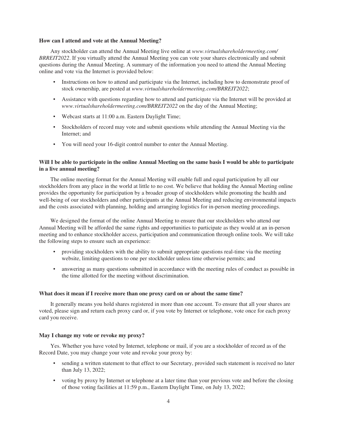#### **How can I attend and vote at the Annual Meeting?**

Any stockholder can attend the Annual Meeting live online at *www.virtualshareholdermeeting.com/ BRREIT2022*. If you virtually attend the Annual Meeting you can vote your shares electronically and submit questions during the Annual Meeting. A summary of the information you need to attend the Annual Meeting online and vote via the Internet is provided below:

- Instructions on how to attend and participate via the Internet, including how to demonstrate proof of stock ownership, are posted at *www.virtualshareholdermeeting.com/BRREIT2022*;
- Assistance with questions regarding how to attend and participate via the Internet will be provided at *www.virtualshareholdermeeting.com/BRREIT2022* on the day of the Annual Meeting;
- Webcast starts at 11:00 a.m. Eastern Daylight Time;
- Stockholders of record may vote and submit questions while attending the Annual Meeting via the Internet; and
- You will need your 16-digit control number to enter the Annual Meeting.

#### **Will I be able to participate in the online Annual Meeting on the same basis I would be able to participate in a live annual meeting?**

The online meeting format for the Annual Meeting will enable full and equal participation by all our stockholders from any place in the world at little to no cost. We believe that holding the Annual Meeting online provides the opportunity for participation by a broader group of stockholders while promoting the health and well-being of our stockholders and other participants at the Annual Meeting and reducing environmental impacts and the costs associated with planning, holding and arranging logistics for in-person meeting proceedings.

We designed the format of the online Annual Meeting to ensure that our stockholders who attend our Annual Meeting will be afforded the same rights and opportunities to participate as they would at an in-person meeting and to enhance stockholder access, participation and communication through online tools. We will take the following steps to ensure such an experience:

- providing stockholders with the ability to submit appropriate questions real-time via the meeting website, limiting questions to one per stockholder unless time otherwise permits; and
- answering as many questions submitted in accordance with the meeting rules of conduct as possible in the time allotted for the meeting without discrimination.

#### **What does it mean if I receive more than one proxy card on or about the same time?**

It generally means you hold shares registered in more than one account. To ensure that all your shares are voted, please sign and return each proxy card or, if you vote by Internet or telephone, vote once for each proxy card you receive.

#### **May I change my vote or revoke my proxy?**

Yes. Whether you have voted by Internet, telephone or mail, if you are a stockholder of record as of the Record Date, you may change your vote and revoke your proxy by:

- sending a written statement to that effect to our Secretary, provided such statement is received no later than July 13, 2022;
- voting by proxy by Internet or telephone at a later time than your previous vote and before the closing of those voting facilities at 11:59 p.m., Eastern Daylight Time, on July 13, 2022;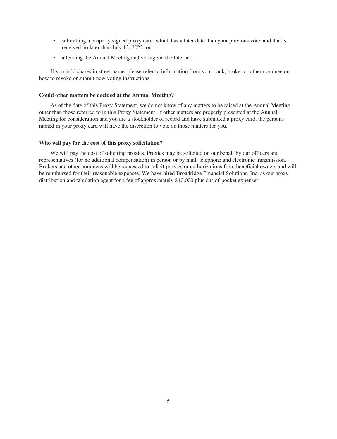- submitting a properly signed proxy card, which has a later date than your previous vote, and that is received no later than July 13, 2022; or
- attending the Annual Meeting and voting via the Internet.

If you hold shares in street name, please refer to information from your bank, broker or other nominee on how to revoke or submit new voting instructions.

#### **Could other matters be decided at the Annual Meeting?**

As of the date of this Proxy Statement, we do not know of any matters to be raised at the Annual Meeting other than those referred to in this Proxy Statement. If other matters are properly presented at the Annual Meeting for consideration and you are a stockholder of record and have submitted a proxy card, the persons named in your proxy card will have the discretion to vote on those matters for you.

#### **Who will pay for the cost of this proxy solicitation?**

We will pay the cost of soliciting proxies. Proxies may be solicited on our behalf by our officers and representatives (for no additional compensation) in person or by mail, telephone and electronic transmission. Brokers and other nominees will be requested to solicit proxies or authorizations from beneficial owners and will be reimbursed for their reasonable expenses. We have hired Broadridge Financial Solutions, Inc. as our proxy distribution and tabulation agent for a fee of approximately \$10,000 plus out-of-pocket expenses.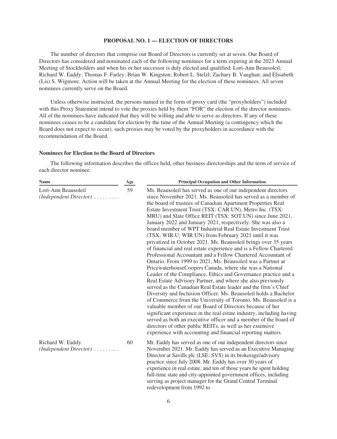#### **PROPOSAL NO. 1 — ELECTION OF DIRECTORS**

<span id="page-12-0"></span>The number of directors that comprise our Board of Directors is currently set at seven. Our Board of Directors has considered and nominated each of the following nominees for a term expiring at the 2023 Annual Meeting of Stockholders and when his or her successor is duly elected and qualified: Lori-Ann Beausoleil; Richard W. Eaddy; Thomas F. Farley; Brian W. Kingston; Robert L. Stelzl; Zachary B. Vaughan; and Elisabeth (Lis) S. Wigmore. Action will be taken at the Annual Meeting for the election of these nominees. All seven nominees currently serve on the Board.

Unless otherwise instructed, the persons named in the form of proxy card (the "proxyholders") included with this Proxy Statement intend to vote the proxies held by them "FOR" the election of the director nominees. All of the nominees have indicated that they will be willing and able to serve as directors. If any of these nominees ceases to be a candidate for election by the time of the Annual Meeting (a contingency which the Board does not expect to occur), such proxies may be voted by the proxyholders in accordance with the recommendation of the Board.

#### <span id="page-12-1"></span>**Nominees for Election to the Board of Directors**

The following information describes the offices held, other business directorships and the term of service of each director nominee.

| <b>Name</b>                                                   | Age | <b>Principal Occupation and Other Information</b>                                                                                                                                                                                                                                                                                                                                                                                                                                                                                                                                                                                                                                                                                                                                                                                                                                                                                                                                                                                                                                                                                                                                                                                                                                                                                                                                                                                                                                                                           |  |  |
|---------------------------------------------------------------|-----|-----------------------------------------------------------------------------------------------------------------------------------------------------------------------------------------------------------------------------------------------------------------------------------------------------------------------------------------------------------------------------------------------------------------------------------------------------------------------------------------------------------------------------------------------------------------------------------------------------------------------------------------------------------------------------------------------------------------------------------------------------------------------------------------------------------------------------------------------------------------------------------------------------------------------------------------------------------------------------------------------------------------------------------------------------------------------------------------------------------------------------------------------------------------------------------------------------------------------------------------------------------------------------------------------------------------------------------------------------------------------------------------------------------------------------------------------------------------------------------------------------------------------------|--|--|
| Lori-Ann Beausoleil<br>$(Independent \ Director) \dots \dots$ | 59  | Ms. Beausoleil has served as one of our independent directors<br>since November 2021. Ms. Beausoleil has served as a member of<br>the board of trustees of Canadian Apartment Properties Real<br>Estate Investment Trust (TSX: CAR.UN), Metro Inc. (TSX:<br>MRU) and Slate Office REIT (TSX: SOT.UN) since June 2021,<br>January 2022 and January 2021, respectively. She was also a<br>board member of WPT Industrial Real Estate Investment Trust<br>(TSX: WIR.U; WIR.UN) from February 2021 until it was<br>privatized in October 2021. Ms. Beausoleil brings over 35 years<br>of financial and real estate experience and is a Fellow Chartered<br>Professional Accountant and a Fellow Chartered Accountant of<br>Ontario. From 1999 to 2021, Ms. Beausoleil was a Partner at<br>PricewaterhouseCoopers Canada, where she was a National<br>Leader of the Compliance, Ethics and Governance practice and a<br>Real Estate Advisory Partner, and where she also previously<br>served as the Canadian Real Estate leader and the firm's Chief<br>Diversity and Inclusion Officer. Ms. Beausoleil holds a Bachelor<br>of Commerce from the University of Toronto. Ms. Beausoleil is a<br>valuable member of our Board of Directors because of her<br>significant experience in the real estate industry, including having<br>served as both an executive officer and a member of the board of<br>directors of other public REITs, as well as her extensive<br>experience with accounting and financial reporting matters. |  |  |
| Richard W. Eaddy<br>$(Independent \ Director) \dots \dots$    | 60  | Mr. Eaddy has served as one of our independent directors since<br>November 2021. Mr. Eaddy has served as an Executive Managing<br>Director at Savills plc (LSE: SVS) in its brokerage/advisory<br>practice since July 2008. Mr. Eaddy has over 30 years of                                                                                                                                                                                                                                                                                                                                                                                                                                                                                                                                                                                                                                                                                                                                                                                                                                                                                                                                                                                                                                                                                                                                                                                                                                                                  |  |  |

6

redevelopment from 1992 to

experience in real estate, and ten of those years he spent holding full-time state and city-appointed government offices, including serving as project manager for the Grand Central Terminal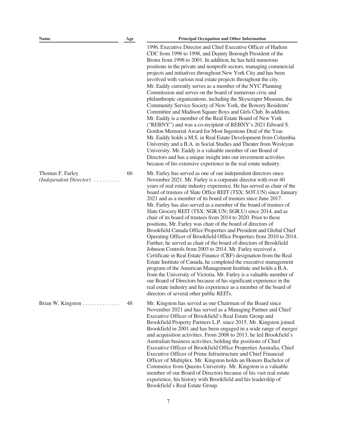Thomas F. Farley

*(Independent Director)* .........

1996, Executive Director and Chief Executive Officer of Harlem CDC from 1996 to 1998, and Deputy Borough President of the Bronx from 1998 to 2001. In addition, he has held numerous positions in the private and nonprofit sectors, managing commercial projects and initiatives throughout New York City and has been involved with various real estate projects throughout the city. Mr. Eaddy currently serves as a member of the NYC Planning Commission and serves on the board of numerous civic and philanthropic organizations, including the Skyscraper Museum, the Community Service Society of New York, the Bowery Residents' Committee and Madison Square Boys and Girls Club. In addition, Mr. Eaddy is a member of the Real Estate Board of New York ("REBNY") and was a co-recipient of REBNY's 2021 Edward S. Gordon Memorial Award for Most Ingenious Deal of the Year. Mr. Eaddy holds a M.S. in Real Estate Development from Columbia University and a B.A. in Social Studies and Theater from Wesleyan University. Mr. Eaddy is a valuable member of our Board of Directors and has a unique insight into our investment activities because of his extensive experience in the real estate industry.

66 Mr. Farley has served as one of our independent directors since November 2021. Mr. Farley is a corporate director with over 40 years of real estate industry experience. He has served as chair of the board of trustees of Slate Office REIT (TSX: SOT.UN) since January 2021 and as a member of its board of trustees since June 2017. Mr. Farley has also served as a member of the board of trustees of Slate Grocery REIT (TSX: SGR.UN; SGR.U) since 2014, and as chair of its board of trustees from 2014 to 2020. Prior to these positions, Mr. Farley was chair of the board of directors of Brookfield Canada Office Properties and President and Global Chief Operating Officer of Brookfield Office Properties from 2010 to 2014. Further, he served as chair of the board of directors of Brookfield Johnson Controls from 2003 to 2014. Mr. Farley received a Certificate in Real Estate Finance (CRF) designation from the Real Estate Institute of Canada, he completed the executive management program of the American Management Institute and holds a B.A. from the University of Victoria. Mr. Farley is a valuable member of our Board of Directors because of his significant experience in the real estate industry and his experience as a member of the board of directors of several other public REITs.

Brian W. Kingston . . . . . . . . . . . . . 48 Mr. Kingston has served as our Chairman of the Board since November 2021 and has served as a Managing Partner and Chief Executive Officer of Brookfield's Real Estate Group and Brookfield Property Partners L.P. since 2015. Mr. Kingston joined Brookfield in 2001 and has been engaged in a wide range of merger and acquisition activities. From 2008 to 2013, he led Brookfield's Australian business activities, holding the positions of Chief Executive Officer of Brookfield Office Properties Australia, Chief Executive Officer of Prime Infrastructure and Chief Financial Officer of Multiplex. Mr. Kingston holds an Honors Bachelor of Commerce from Queens University. Mr. Kingston is a valuable member of our Board of Directors because of his vast real estate experience, his history with Brookfield and his leadership of Brookfield's Real Estate Group.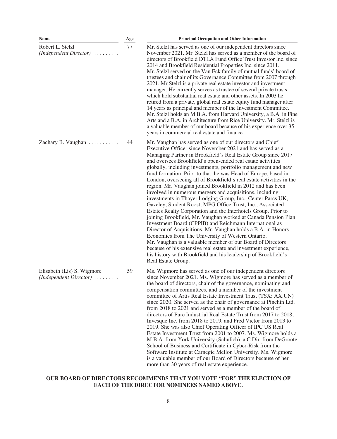| Name                                                 | $\bold{Age}$ | <b>Principal Occupation and Other Information</b>                                                                                                                                                                                                                                                                                                                                                                                                                                                                                                                                                                                                                                                                                                                                                                                                                                                                                                                                                                                                                                                                                                                                                                                                                   |
|------------------------------------------------------|--------------|---------------------------------------------------------------------------------------------------------------------------------------------------------------------------------------------------------------------------------------------------------------------------------------------------------------------------------------------------------------------------------------------------------------------------------------------------------------------------------------------------------------------------------------------------------------------------------------------------------------------------------------------------------------------------------------------------------------------------------------------------------------------------------------------------------------------------------------------------------------------------------------------------------------------------------------------------------------------------------------------------------------------------------------------------------------------------------------------------------------------------------------------------------------------------------------------------------------------------------------------------------------------|
| Robert L. Stelzl<br>$(Independent \ Director)$       | 77           | Mr. Stelzl has served as one of our independent directors since<br>November 2021. Mr. Stelzl has served as a member of the board of<br>directors of Brookfield DTLA Fund Office Trust Investor Inc. since<br>2014 and Brookfield Residential Properties Inc. since 2011.<br>Mr. Stelzl served on the Van Eck family of mutual funds' board of<br>trustees and chair of its Governance Committee from 2007 through<br>2021. Mr Stelzl is a private real estate investor and investment<br>manager. He currently serves as trustee of several private trusts<br>which hold substantial real estate and other assets. In 2003 he<br>retired from a private, global real estate equity fund manager after<br>14 years as principal and member of the Investment Committee.<br>Mr. Stelzl holds an M.B.A. from Harvard University, a B.A. in Fine<br>Arts and a B.A. in Architecture from Rice University. Mr. Stelzl is<br>a valuable member of our board because of his experience over 35<br>years in commercial real estate and finance.                                                                                                                                                                                                                             |
| Zachary B. Vaughan                                   | 44           | Mr. Vaughan has served as one of our directors and Chief<br>Executive Officer since November 2021 and has served as a<br>Managing Partner in Brookfield's Real Estate Group since 2017<br>and oversees Brookfield's open-ended real estate activities<br>globally, including investments, portfolio management and new<br>fund formation. Prior to that, he was Head of Europe, based in<br>London, overseeing all of Brookfield's real estate activities in the<br>region. Mr. Vaughan joined Brookfield in 2012 and has been<br>involved in numerous mergers and acquisitions, including<br>investments in Thayer Lodging Group, Inc., Center Parcs UK,<br>Gazeley, Student Roost, MPG Office Trust, Inc., Associated<br>Estates Realty Corporation and the Interhotels Group. Prior to<br>joining Brookfield, Mr. Vaughan worked at Canada Pension Plan<br>Investment Board (CPPIB) and Reichmann International as<br>Director of Acquisitions. Mr. Vaughan holds a B.A. in Honors<br>Economics from The University of Western Ontario.<br>Mr. Vaughan is a valuable member of our Board of Directors<br>because of his extensive real estate and investment experience,<br>his history with Brookfield and his leadership of Brookfield's<br>Real Estate Group. |
| Elisabeth (Lis) S. Wigmore<br>(Independent Director) | 59           | Ms. Wigmore has served as one of our independent directors<br>since November 2021. Ms. Wigmore has served as a member of<br>the board of directors, chair of the governance, nominating and<br>compensation committees, and a member of the investment<br>committee of Artis Real Estate Investment Trust (TSX: AX.UN)<br>since 2020. She served as the chair of governance at Pinchin Ltd.<br>from 2018 to 2021 and served as a member of the board of<br>directors of Pure Industrial Real Estate Trust from 2017 to 2018,<br>Invesque Inc. from 2018 to 2019, and Fred Victor from 2013 to<br>2019. She was also Chief Operating Officer of IPC US Real<br>Estate Investment Trust from 2001 to 2007. Ms. Wigmore holds a<br>M.B.A. from York University (Schulich), a C.Dir. from DeGroote<br>School of Business and Certificate in Cyber-Risk from the<br>Software Institute at Carnegie Mellon University. Ms. Wigmore<br>is a valuable member of our Board of Directors because of her<br>more than 30 years of real estate experience.                                                                                                                                                                                                                      |

#### **OUR BOARD OF DIRECTORS RECOMMENDS THAT YOU VOTE "FOR" THE ELECTION OF EACH OF THE DIRECTOR NOMINEES NAMED ABOVE.**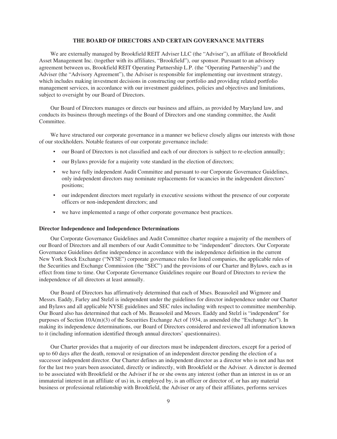#### **THE BOARD OF DIRECTORS AND CERTAIN GOVERNANCE MATTERS**

<span id="page-15-0"></span>We are externally managed by Brookfield REIT Adviser LLC (the "Adviser"), an affiliate of Brookfield Asset Management Inc. (together with its affiliates, "Brookfield"), our sponsor. Pursuant to an advisory agreement between us, Brookfield REIT Operating Partnership L.P. (the "Operating Partnership") and the Adviser (the "Advisory Agreement"), the Adviser is responsible for implementing our investment strategy, which includes making investment decisions in constructing our portfolio and providing related portfolio management services, in accordance with our investment guidelines, policies and objectives and limitations, subject to oversight by our Board of Directors.

Our Board of Directors manages or directs our business and affairs, as provided by Maryland law, and conducts its business through meetings of the Board of Directors and one standing committee, the Audit Committee.

We have structured our corporate governance in a manner we believe closely aligns our interests with those of our stockholders. Notable features of our corporate governance include:

- our Board of Directors is not classified and each of our directors is subject to re-election annually;
- our Bylaws provide for a majority vote standard in the election of directors;
- we have fully independent Audit Committee and pursuant to our Corporate Governance Guidelines, only independent directors may nominate replacements for vacancies in the independent directors' positions;
- our independent directors meet regularly in executive sessions without the presence of our corporate officers or non-independent directors; and
- we have implemented a range of other corporate governance best practices.

#### <span id="page-15-1"></span>**Director Independence and Independence Determinations**

Our Corporate Governance Guidelines and Audit Committee charter require a majority of the members of our Board of Directors and all members of our Audit Committee to be "independent" directors. Our Corporate Governance Guidelines define independence in accordance with the independence definition in the current New York Stock Exchange ("NYSE") corporate governance rules for listed companies, the applicable rules of the Securities and Exchange Commission (the "SEC") and the provisions of our Charter and Bylaws, each as in effect from time to time. Our Corporate Governance Guidelines require our Board of Directors to review the independence of all directors at least annually.

Our Board of Directors has affirmatively determined that each of Mses. Beausoleil and Wigmore and Messrs. Eaddy, Farley and Stelzl is independent under the guidelines for director independence under our Charter and Bylaws and all applicable NYSE guidelines and SEC rules including with respect to committee membership. Our Board also has determined that each of Ms. Beausoleil and Messrs. Eaddy and Stelzl is "independent" for purposes of Section 10A(m)(3) of the Securities Exchange Act of 1934, as amended (the "Exchange Act"). In making its independence determinations, our Board of Directors considered and reviewed all information known to it (including information identified through annual directors' questionnaires).

Our Charter provides that a majority of our directors must be independent directors, except for a period of up to 60 days after the death, removal or resignation of an independent director pending the election of a successor independent director. Our Charter defines an independent director as a director who is not and has not for the last two years been associated, directly or indirectly, with Brookfield or the Adviser. A director is deemed to be associated with Brookfield or the Adviser if he or she owns any interest (other than an interest in us or an immaterial interest in an affiliate of us) in, is employed by, is an officer or director of, or has any material business or professional relationship with Brookfield, the Adviser or any of their affiliates, performs services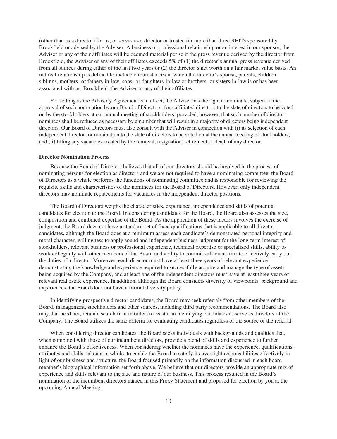(other than as a director) for us, or serves as a director or trustee for more than three REITs sponsored by Brookfield or advised by the Adviser. A business or professional relationship or an interest in our sponsor, the Adviser or any of their affiliates will be deemed material per se if the gross revenue derived by the director from Brookfield, the Adviser or any of their affiliates exceeds 5% of (1) the director's annual gross revenue derived from all sources during either of the last two years or (2) the director's net worth on a fair market value basis. An indirect relationship is defined to include circumstances in which the director's spouse, parents, children, siblings, mothers- or fathers-in-law, sons- or daughters-in-law or brothers- or sisters-in-law is or has been associated with us, Brookfield, the Adviser or any of their affiliates.

For so long as the Advisory Agreement is in effect, the Adviser has the right to nominate, subject to the approval of such nomination by our Board of Directors, four affiliated directors to the slate of directors to be voted on by the stockholders at our annual meeting of stockholders; provided, however, that such number of director nominees shall be reduced as necessary by a number that will result in a majority of directors being independent directors. Our Board of Directors must also consult with the Adviser in connection with (i) its selection of each independent director for nomination to the slate of directors to be voted on at the annual meeting of stockholders, and (ii) filling any vacancies created by the removal, resignation, retirement or death of any director.

#### <span id="page-16-0"></span>**Director Nomination Process**

Because the Board of Directors believes that all of our directors should be involved in the process of nominating persons for election as directors and we are not required to have a nominating committee, the Board of Directors as a whole performs the functions of nominating committee and is responsible for reviewing the requisite skills and characteristics of the nominees for the Board of Directors. However, only independent directors may nominate replacements for vacancies in the independent director positions.

The Board of Directors weighs the characteristics, experience, independence and skills of potential candidates for election to the Board. In considering candidates for the Board, the Board also assesses the size, composition and combined expertise of the Board. As the application of these factors involves the exercise of judgment, the Board does not have a standard set of fixed qualifications that is applicable to all director candidates, although the Board does at a minimum assess each candidate's demonstrated personal integrity and moral character, willingness to apply sound and independent business judgment for the long-term interest of stockholders, relevant business or professional experience, technical expertise or specialized skills, ability to work collegially with other members of the Board and ability to commit sufficient time to effectively carry out the duties of a director. Moreover, each director must have at least three years of relevant experience demonstrating the knowledge and experience required to successfully acquire and manage the type of assets being acquired by the Company, and at least one of the independent directors must have at least three years of relevant real estate experience. In addition, although the Board considers diversity of viewpoints, background and experiences, the Board does not have a formal diversity policy.

In identifying prospective director candidates, the Board may seek referrals from other members of the Board, management, stockholders and other sources, including third party recommendations. The Board also may, but need not, retain a search firm in order to assist it in identifying candidates to serve as directors of the Company. The Board utilizes the same criteria for evaluating candidates regardless of the source of the referral.

When considering director candidates, the Board seeks individuals with backgrounds and qualities that, when combined with those of our incumbent directors, provide a blend of skills and experience to further enhance the Board's effectiveness. When considering whether the nominees have the experience, qualifications, attributes and skills, taken as a whole, to enable the Board to satisfy its oversight responsibilities effectively in light of our business and structure, the Board focused primarily on the information discussed in each board member's biographical information set forth above. We believe that our directors provide an appropriate mix of experience and skills relevant to the size and nature of our business. This process resulted in the Board's nomination of the incumbent directors named in this Proxy Statement and proposed for election by you at the upcoming Annual Meeting.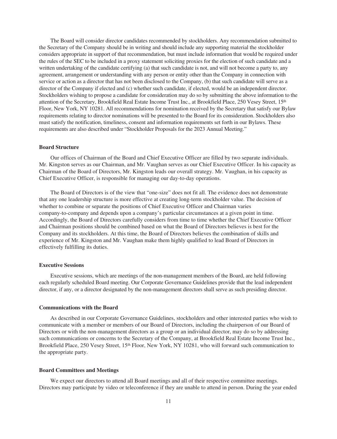The Board will consider director candidates recommended by stockholders. Any recommendation submitted to the Secretary of the Company should be in writing and should include any supporting material the stockholder considers appropriate in support of that recommendation, but must include information that would be required under the rules of the SEC to be included in a proxy statement soliciting proxies for the election of such candidate and a written undertaking of the candidate certifying (a) that such candidate is not, and will not become a party to, any agreement, arrangement or understanding with any person or entity other than the Company in connection with service or action as a director that has not been disclosed to the Company, (b) that such candidate will serve as a director of the Company if elected and (c) whether such candidate, if elected, would be an independent director. Stockholders wishing to propose a candidate for consideration may do so by submitting the above information to the attention of the Secretary, Brookfield Real Estate Income Trust Inc., at Brookfield Place, 250 Vesey Street, 15<sup>th</sup> Floor, New York, NY 10281. All recommendations for nomination received by the Secretary that satisfy our Bylaw requirements relating to director nominations will be presented to the Board for its consideration. Stockholders also must satisfy the notification, timeliness, consent and information requirements set forth in our Bylaws. These requirements are also described under "Stockholder Proposals for the 2023 Annual Meeting."

#### <span id="page-17-0"></span>**Board Structure**

Our offices of Chairman of the Board and Chief Executive Officer are filled by two separate individuals. Mr. Kingston serves as our Chairman, and Mr. Vaughan serves as our Chief Executive Officer. In his capacity as Chairman of the Board of Directors, Mr. Kingston leads our overall strategy. Mr. Vaughan, in his capacity as Chief Executive Officer, is responsible for managing our day-to-day operations.

The Board of Directors is of the view that "one-size" does not fit all. The evidence does not demonstrate that any one leadership structure is more effective at creating long-term stockholder value. The decision of whether to combine or separate the positions of Chief Executive Officer and Chairman varies company-to-company and depends upon a company's particular circumstances at a given point in time. Accordingly, the Board of Directors carefully considers from time to time whether the Chief Executive Officer and Chairman positions should be combined based on what the Board of Directors believes is best for the Company and its stockholders. At this time, the Board of Directors believes the combination of skills and experience of Mr. Kingston and Mr. Vaughan make them highly qualified to lead Board of Directors in effectively fulfilling its duties.

#### <span id="page-17-1"></span>**Executive Sessions**

Executive sessions, which are meetings of the non-management members of the Board, are held following each regularly scheduled Board meeting. Our Corporate Governance Guidelines provide that the lead independent director, if any, or a director designated by the non-management directors shall serve as such presiding director.

#### <span id="page-17-2"></span>**Communications with the Board**

As described in our Corporate Governance Guidelines, stockholders and other interested parties who wish to communicate with a member or members of our Board of Directors, including the chairperson of our Board of Directors or with the non-management directors as a group or an individual director, may do so by addressing such communications or concerns to the Secretary of the Company, at Brookfield Real Estate Income Trust Inc., Brookfield Place, 250 Vesey Street, 15<sup>th</sup> Floor, New York, NY 10281, who will forward such communication to the appropriate party.

#### <span id="page-17-3"></span>**Board Committees and Meetings**

We expect our directors to attend all Board meetings and all of their respective committee meetings. Directors may participate by video or teleconference if they are unable to attend in person. During the year ended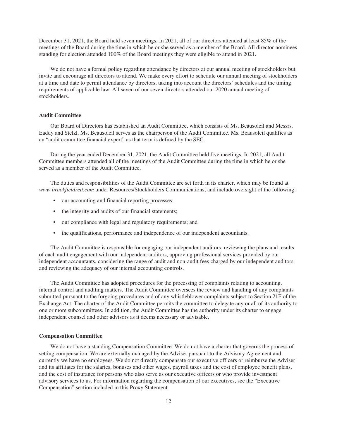December 31, 2021, the Board held seven meetings. In 2021, all of our directors attended at least 85% of the meetings of the Board during the time in which he or she served as a member of the Board. All director nominees standing for election attended 100% of the Board meetings they were eligible to attend in 2021.

We do not have a formal policy regarding attendance by directors at our annual meeting of stockholders but invite and encourage all directors to attend. We make every effort to schedule our annual meeting of stockholders at a time and date to permit attendance by directors, taking into account the directors' schedules and the timing requirements of applicable law. All seven of our seven directors attended our 2020 annual meeting of stockholders.

#### **Audit Committee**

Our Board of Directors has established an Audit Committee, which consists of Ms. Beausoleil and Messrs. Eaddy and Stelzl. Ms. Beausoleil serves as the chairperson of the Audit Committee. Ms. Beausoleil qualifies as an "audit committee financial expert" as that term is defined by the SEC.

During the year ended December 31, 2021, the Audit Committee held five meetings. In 2021, all Audit Committee members attended all of the meetings of the Audit Committee during the time in which he or she served as a member of the Audit Committee.

The duties and responsibilities of the Audit Committee are set forth in its charter, which may be found at *www.brookfieldreit.com* under Resources/Stockholders Communications, and include oversight of the following:

- our accounting and financial reporting processes;
- the integrity and audits of our financial statements;
- our compliance with legal and regulatory requirements; and
- the qualifications, performance and independence of our independent accountants.

The Audit Committee is responsible for engaging our independent auditors, reviewing the plans and results of each audit engagement with our independent auditors, approving professional services provided by our independent accountants, considering the range of audit and non-audit fees charged by our independent auditors and reviewing the adequacy of our internal accounting controls.

The Audit Committee has adopted procedures for the processing of complaints relating to accounting, internal control and auditing matters. The Audit Committee oversees the review and handling of any complaints submitted pursuant to the forgoing procedures and of any whistleblower complaints subject to Section 21F of the Exchange Act. The charter of the Audit Committee permits the committee to delegate any or all of its authority to one or more subcommittees. In addition, the Audit Committee has the authority under its charter to engage independent counsel and other advisors as it deems necessary or advisable.

#### <span id="page-18-0"></span>**Compensation Committee**

We do not have a standing Compensation Committee. We do not have a charter that governs the process of setting compensation. We are externally managed by the Adviser pursuant to the Advisory Agreement and currently we have no employees. We do not directly compensate our executive officers or reimburse the Adviser and its affiliates for the salaries, bonuses and other wages, payroll taxes and the cost of employee benefit plans, and the cost of insurance for persons who also serve as our executive officers or who provide investment advisory services to us. For information regarding the compensation of our executives, see the "Executive Compensation" section included in this Proxy Statement.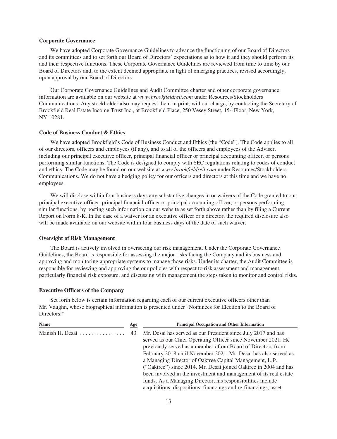#### <span id="page-19-0"></span>**Corporate Governance**

We have adopted Corporate Governance Guidelines to advance the functioning of our Board of Directors and its committees and to set forth our Board of Directors' expectations as to how it and they should perform its and their respective functions. These Corporate Governance Guidelines are reviewed from time to time by our Board of Directors and, to the extent deemed appropriate in light of emerging practices, revised accordingly, upon approval by our Board of Directors.

Our Corporate Governance Guidelines and Audit Committee charter and other corporate governance information are available on our website at *www.brookfieldreit.com* under Resources/Stockholders Communications. Any stockholder also may request them in print, without charge, by contacting the Secretary of Brookfield Real Estate Income Trust Inc., at Brookfield Place, 250 Vesey Street, 15<sup>th</sup> Floor, New York, NY 10281.

#### <span id="page-19-1"></span>**Code of Business Conduct & Ethics**

We have adopted Brookfield's Code of Business Conduct and Ethics (the "Code"). The Code applies to all of our directors, officers and employees (if any), and to all of the officers and employees of the Adviser, including our principal executive officer, principal financial officer or principal accounting officer, or persons performing similar functions. The Code is designed to comply with SEC regulations relating to codes of conduct and ethics. The Code may be found on our website at *www.brookfieldreit.com* under Resources/Stockholders Communications. We do not have a hedging policy for our officers and directors at this time and we have no employees.

We will disclose within four business days any substantive changes in or waivers of the Code granted to our principal executive officer, principal financial officer or principal accounting officer, or persons performing similar functions, by posting such information on our website as set forth above rather than by filing a Current Report on Form 8-K. In the case of a waiver for an executive officer or a director, the required disclosure also will be made available on our website within four business days of the date of such waiver.

#### <span id="page-19-2"></span>**Oversight of Risk Management**

The Board is actively involved in overseeing our risk management. Under the Corporate Governance Guidelines, the Board is responsible for assessing the major risks facing the Company and its business and approving and monitoring appropriate systems to manage those risks. Under its charter, the Audit Committee is responsible for reviewing and approving the our policies with respect to risk assessment and management, particularly financial risk exposure, and discussing with management the steps taken to monitor and control risks.

#### <span id="page-19-3"></span>**Executive Officers of the Company**

Set forth below is certain information regarding each of our current executive officers other than Mr. Vaughn, whose biographical information is presented under "Nominees for Election to the Board of Directors."

| <b>Name</b>                                   | Age | <b>Principal Occupation and Other Information</b>                                                                              |
|-----------------------------------------------|-----|--------------------------------------------------------------------------------------------------------------------------------|
| Manish H. Desai $\ldots \ldots \ldots \ldots$ | 43  | Mr. Desai has served as our President since July 2017 and has<br>served as our Chief Operating Officer since November 2021. He |
|                                               |     | previously served as a member of our Board of Directors from                                                                   |
|                                               |     | February 2018 until November 2021. Mr. Desai has also served as                                                                |
|                                               |     | a Managing Director of Oaktree Capital Management, L.P.                                                                        |
|                                               |     | ("Oaktree") since 2014. Mr. Desai joined Oaktree in 2004 and has                                                               |
|                                               |     | been involved in the investment and management of its real estate                                                              |
|                                               |     | funds. As a Managing Director, his responsibilities include                                                                    |
|                                               |     | acquisitions, dispositions, financings and re-financings, asset                                                                |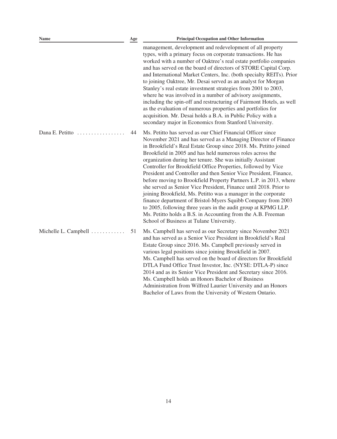| Name                            | Age | <b>Principal Occupation and Other Information</b>                                                                                                                                                                                                                                                                                                                                                                                                                                                                                                                                                                                                                                                                                                                                                                                                                                                                             |
|---------------------------------|-----|-------------------------------------------------------------------------------------------------------------------------------------------------------------------------------------------------------------------------------------------------------------------------------------------------------------------------------------------------------------------------------------------------------------------------------------------------------------------------------------------------------------------------------------------------------------------------------------------------------------------------------------------------------------------------------------------------------------------------------------------------------------------------------------------------------------------------------------------------------------------------------------------------------------------------------|
|                                 |     | management, development and redevelopment of all property<br>types, with a primary focus on corporate transactions. He has<br>worked with a number of Oaktree's real estate portfolio companies<br>and has served on the board of directors of STORE Capital Corp.<br>and International Market Centers, Inc. (both specialty REITs). Prior<br>to joining Oaktree, Mr. Desai served as an analyst for Morgan<br>Stanley's real estate investment strategies from 2001 to 2003,<br>where he was involved in a number of advisory assignments,<br>including the spin-off and restructuring of Fairmont Hotels, as well<br>as the evaluation of numerous properties and portfolios for<br>acquisition. Mr. Desai holds a B.A. in Public Policy with a<br>secondary major in Economics from Stanford University.                                                                                                                   |
| Dana E. Petitto $\ldots \ldots$ | 44  | Ms. Petitto has served as our Chief Financial Officer since<br>November 2021 and has served as a Managing Director of Finance<br>in Brookfield's Real Estate Group since 2018. Ms. Petitto joined<br>Brookfield in 2005 and has held numerous roles across the<br>organization during her tenure. She was initially Assistant<br>Controller for Brookfield Office Properties, followed by Vice<br>President and Controller and then Senior Vice President, Finance,<br>before moving to Brookfield Property Partners L.P. in 2013, where<br>she served as Senior Vice President, Finance until 2018. Prior to<br>joining Brookfield, Ms. Petitto was a manager in the corporate<br>finance department of Bristol-Myers Squibb Company from 2003<br>to 2005, following three years in the audit group at KPMG LLP.<br>Ms. Petitto holds a B.S. in Accounting from the A.B. Freeman<br>School of Business at Tulane University. |
| Michelle L. Campbell            | 51  | Ms. Campbell has served as our Secretary since November 2021<br>and has served as a Senior Vice President in Brookfield's Real<br>Estate Group since 2016. Ms. Campbell previously served in<br>various legal positions since joining Brookfield in 2007.<br>Ms. Campbell has served on the board of directors for Brookfield<br>DTLA Fund Office Trust Investor, Inc. (NYSE: DTLA-P) since<br>2014 and as its Senior Vice President and Secretary since 2016.<br>Ms. Campbell holds an Honors Bachelor of Business<br>Administration from Wilfred Laurier University and an Honors<br>Bachelor of Laws from the University of Western Ontario.                                                                                                                                                                                                                                                                               |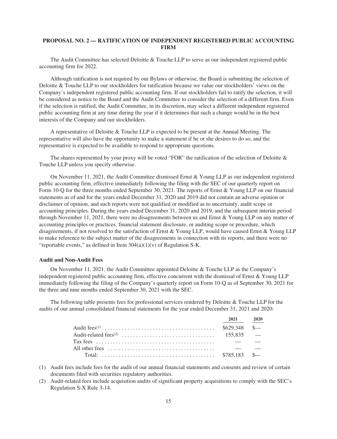#### <span id="page-21-0"></span>**PROPOSAL NO. 2 — RATIFICATION OF INDEPENDENT REGISTERED PUBLIC ACCOUNTING FIRM**

The Audit Committee has selected Deloitte & Touche LLP to serve as our independent registered public accounting firm for 2022.

Although ratification is not required by our Bylaws or otherwise, the Board is submitting the selection of Deloitte & Touche LLP to our stockholders for ratification because we value our stockholders' views on the Company's independent registered public accounting firm. If our stockholders fail to ratify the selection, it will be considered as notice to the Board and the Audit Committee to consider the selection of a different firm. Even if the selection is ratified, the Audit Committee, in its discretion, may select a different independent registered public accounting firm at any time during the year if it determines that such a change would be in the best interests of the Company and our stockholders.

A representative of Deloitte & Touche LLP is expected to be present at the Annual Meeting. The representative will also have the opportunity to make a statement if he or she desires to do so, and the representative is expected to be available to respond to appropriate questions.

The shares represented by your proxy will be voted "FOR" the ratification of the selection of Deloitte  $\&$ Touche LLP unless you specify otherwise.

On November 11, 2021, the Audit Committee dismissed Ernst & Young LLP as our independent registered public accounting firm, effective immediately following the filing with the SEC of our quarterly report on Form 10-Q for the three months ended September 30, 2021. The reports of Ernst & Young LLP on our financial statements as of and for the years ended December 31, 2020 and 2019 did not contain an adverse opinion or disclaimer of opinion, and such reports were not qualified or modified as to uncertainty, audit scope or accounting principles. During the years ended December 31, 2020 and 2019, and the subsequent interim period through November 11, 2021, there were no disagreements between us and Ernst & Young LLP on any matter of accounting principles or practices, financial statement disclosure, or auditing scope or procedure, which disagreements, if not resolved to the satisfaction of Ernst & Young LLP, would have caused Ernst & Young LLP to make reference to the subject matter of the disagreements in connection with its reports, and there were no "reportable events," as defined in Item  $304(a)(1)(v)$  of Regulation S-K.

#### <span id="page-21-1"></span>**Audit and Non-Audit Fees**

On November 11, 2021, the Audit Committee appointed Deloitte & Touche LLP as the Company's independent registered public accounting firm, effective concurrent with the dismissal of Ernst & Young LLP immediately following the filing of the Company's quarterly report on Form 10-Q as of September 30, 2021 for the three and nine months ended September 30, 2021 with the SEC.

The following table presents fees for professional services rendered by Deloitte & Touche LLP for the audits of our annual consolidated financial statements for the year ended December 31, 2021 and 2020:

| 2021 | 2020 |
|------|------|
|      |      |
|      |      |
|      |      |
|      |      |
|      |      |

- (1) Audit fees include fees for the audit of our annual financial statements and consents and review of certain documents filed with securities regulatory authorities.
- (2) Audit-related fees include acquisition audits of significant property acquisitions to comply with the SEC's Regulation S-X Rule 3-14.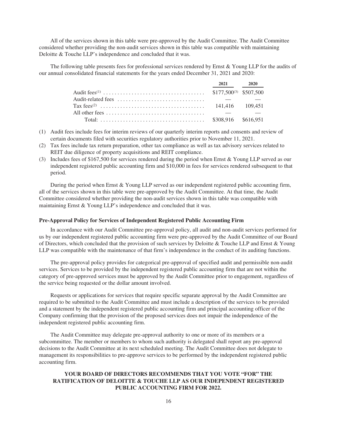All of the services shown in this table were pre-approved by the Audit Committee. The Audit Committee considered whether providing the non-audit services shown in this table was compatible with maintaining Deloitte & Touche LLP's independence and concluded that it was.

The following table presents fees for professional services rendered by Ernst & Young LLP for the audits of our annual consolidated financial statements for the years ended December 31, 2021 and 2020:

| 2021 2020 |  |
|-----------|--|
|           |  |
|           |  |
|           |  |
|           |  |
|           |  |

- (1) Audit fees include fees for interim reviews of our quarterly interim reports and consents and review of certain documents filed with securities regulatory authorities prior to November 11, 2021.
- (2) Tax fees include tax return preparation, other tax compliance as well as tax advisory services related to REIT due diligence of property acquisitions and REIT compliance.
- (3) Includes fees of \$167,500 for services rendered during the period when Ernst & Young LLP served as our independent registered public accounting firm and \$10,000 in fees for services rendered subsequent to that period.

During the period when Ernst & Young LLP served as our independent registered public accounting firm, all of the services shown in this table were pre-approved by the Audit Committee. At that time, the Audit Committee considered whether providing the non-audit services shown in this table was compatible with maintaining Ernst & Young LLP's independence and concluded that it was.

#### <span id="page-22-0"></span>**Pre-Approval Policy for Services of Independent Registered Public Accounting Firm**

In accordance with our Audit Committee pre-approval policy, all audit and non-audit services performed for us by our independent registered public accounting firm were pre-approved by the Audit Committee of our Board of Directors, which concluded that the provision of such services by Deloitte & Touche LLP and Ernst & Young LLP was compatible with the maintenance of that firm's independence in the conduct of its auditing functions.

The pre-approval policy provides for categorical pre-approval of specified audit and permissible non-audit services. Services to be provided by the independent registered public accounting firm that are not within the category of pre-approved services must be approved by the Audit Committee prior to engagement, regardless of the service being requested or the dollar amount involved.

Requests or applications for services that require specific separate approval by the Audit Committee are required to be submitted to the Audit Committee and must include a description of the services to be provided and a statement by the independent registered public accounting firm and principal accounting officer of the Company confirming that the provision of the proposed services does not impair the independence of the independent registered public accounting firm.

The Audit Committee may delegate pre-approval authority to one or more of its members or a subcommittee. The member or members to whom such authority is delegated shall report any pre-approval decisions to the Audit Committee at its next scheduled meeting. The Audit Committee does not delegate to management its responsibilities to pre-approve services to be performed by the independent registered public accounting firm.

#### **YOUR BOARD OF DIRECTORS RECOMMENDS THAT YOU VOTE "FOR" THE RATIFICATION OF DELOITTE & TOUCHE LLP AS OUR INDEPENDENT REGISTERED PUBLIC ACCOUNTING FIRM FOR 2022.**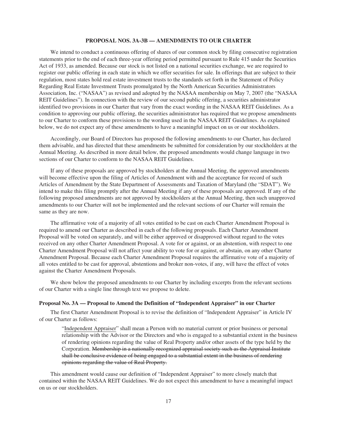#### **PROPOSAL NOS. 3A-3B — AMENDMENTS TO OUR CHARTER**

<span id="page-23-0"></span>We intend to conduct a continuous offering of shares of our common stock by filing consecutive registration statements prior to the end of each three-year offering period permitted pursuant to Rule 415 under the Securities Act of 1933, as amended. Because our stock is not listed on a national securities exchange, we are required to register our public offering in each state in which we offer securities for sale. In offerings that are subject to their regulation, most states hold real estate investment trusts to the standards set forth in the Statement of Policy Regarding Real Estate Investment Trusts promulgated by the North American Securities Administrators Association, Inc. ("NASAA") as revised and adopted by the NASAA membership on May 7, 2007 (the "NASAA REIT Guidelines"). In connection with the review of our second public offering, a securities administrator identified two provisions in our Charter that vary from the exact wording in the NASAA REIT Guidelines. As a condition to approving our public offering, the securities administrator has required that we propose amendments to our Charter to conform these provisions to the wording used in the NASAA REIT Guidelines. As explained below, we do not expect any of these amendments to have a meaningful impact on us or our stockholders.

Accordingly, our Board of Directors has proposed the following amendments to our Charter, has declared them advisable, and has directed that these amendments be submitted for consideration by our stockholders at the Annual Meeting. As described in more detail below, the proposed amendments would change language in two sections of our Charter to conform to the NASAA REIT Guidelines.

If any of these proposals are approved by stockholders at the Annual Meeting, the approved amendments will become effective upon the filing of Articles of Amendment with and the acceptance for record of such Articles of Amendment by the State Department of Assessments and Taxation of Maryland (the "SDAT"). We intend to make this filing promptly after the Annual Meeting if any of these proposals are approved. If any of the following proposed amendments are not approved by stockholders at the Annual Meeting, then such unapproved amendments to our Charter will not be implemented and the relevant sections of our Charter will remain the same as they are now.

The affirmative vote of a majority of all votes entitled to be cast on each Charter Amendment Proposal is required to amend our Charter as described in each of the following proposals. Each Charter Amendment Proposal will be voted on separately, and will be either approved or disapproved without regard to the votes received on any other Charter Amendment Proposal. A vote for or against, or an abstention, with respect to one Charter Amendment Proposal will not affect your ability to vote for or against, or abstain, on any other Charter Amendment Proposal. Because each Charter Amendment Proposal requires the affirmative vote of a majority of all votes entitled to be cast for approval, abstentions and broker non-votes, if any, will have the effect of votes against the Charter Amendment Proposals.

We show below the proposed amendments to our Charter by including excerpts from the relevant sections of our Charter with a single line through text we propose to delete.

#### **Proposal No. 3A — Proposal to Amend the Definition of "Independent Appraiser" in our Charter**

The first Charter Amendment Proposal is to revise the definition of "Independent Appraiser" in Article IV of our Charter as follows:

"Independent Appraiser" shall mean a Person with no material current or prior business or personal relationship with the Advisor or the Directors and who is engaged to a substantial extent in the business of rendering opinions regarding the value of Real Property and/or other assets of the type held by the Corporation. Membership in a nationally recognized appraisal society such as the Appraisal Institute shall be conclusive evidence of being engaged to a substantial extent in the business of rendering opinions regarding the value of Real Property.

This amendment would cause our definition of "Independent Appraiser" to more closely match that contained within the NASAA REIT Guidelines. We do not expect this amendment to have a meaningful impact on us or our stockholders.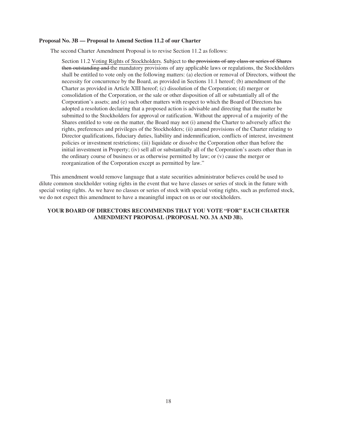#### **Proposal No. 3B — Proposal to Amend Section 11.2 of our Charter**

The second Charter Amendment Proposal is to revise Section 11.2 as follows:

Section 11.2 Voting Rights of Stockholders. Subject to the provisions of any class or series of Shares then outstanding and the mandatory provisions of any applicable laws or regulations, the Stockholders shall be entitled to vote only on the following matters: (a) election or removal of Directors, without the necessity for concurrence by the Board, as provided in Sections 11.1 hereof; (b) amendment of the Charter as provided in Article XIII hereof; (c) dissolution of the Corporation; (d) merger or consolidation of the Corporation, or the sale or other disposition of all or substantially all of the Corporation's assets; and (e) such other matters with respect to which the Board of Directors has adopted a resolution declaring that a proposed action is advisable and directing that the matter be submitted to the Stockholders for approval or ratification. Without the approval of a majority of the Shares entitled to vote on the matter, the Board may not (i) amend the Charter to adversely affect the rights, preferences and privileges of the Stockholders; (ii) amend provisions of the Charter relating to Director qualifications, fiduciary duties, liability and indemnification, conflicts of interest, investment policies or investment restrictions; (iii) liquidate or dissolve the Corporation other than before the initial investment in Property; (iv) sell all or substantially all of the Corporation's assets other than in the ordinary course of business or as otherwise permitted by law; or (v) cause the merger or reorganization of the Corporation except as permitted by law."

This amendment would remove language that a state securities administrator believes could be used to dilute common stockholder voting rights in the event that we have classes or series of stock in the future with special voting rights. As we have no classes or series of stock with special voting rights, such as preferred stock, we do not expect this amendment to have a meaningful impact on us or our stockholders.

#### **YOUR BOARD OF DIRECTORS RECOMMENDS THAT YOU VOTE "FOR" EACH CHARTER AMENDMENT PROPOSAL (PROPOSAL NO. 3A AND 3B).**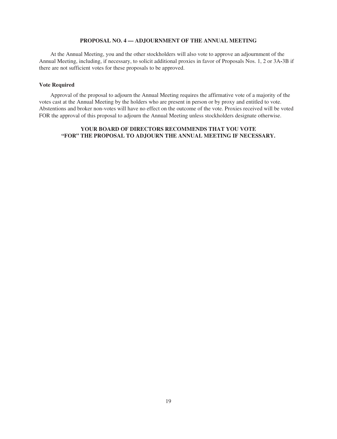#### **PROPOSAL NO. 4 — ADJOURNMENT OF THE ANNUAL MEETING**

<span id="page-25-0"></span>At the Annual Meeting, you and the other stockholders will also vote to approve an adjournment of the Annual Meeting, including, if necessary, to solicit additional proxies in favor of Proposals Nos. 1, 2 or 3A**-**3B if there are not sufficient votes for these proposals to be approved.

#### **Vote Required**

Approval of the proposal to adjourn the Annual Meeting requires the affirmative vote of a majority of the votes cast at the Annual Meeting by the holders who are present in person or by proxy and entitled to vote. Abstentions and broker non-votes will have no effect on the outcome of the vote. Proxies received will be voted FOR the approval of this proposal to adjourn the Annual Meeting unless stockholders designate otherwise.

#### **YOUR BOARD OF DIRECTORS RECOMMENDS THAT YOU VOTE "FOR" THE PROPOSAL TO ADJOURN THE ANNUAL MEETING IF NECESSARY.**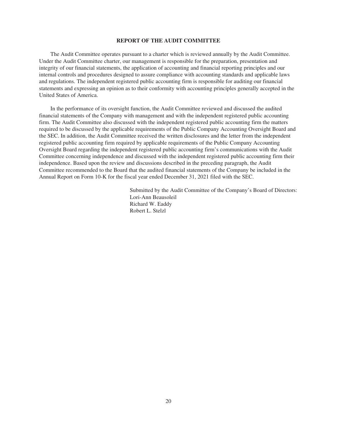#### **REPORT OF THE AUDIT COMMITTEE**

<span id="page-26-0"></span>The Audit Committee operates pursuant to a charter which is reviewed annually by the Audit Committee. Under the Audit Committee charter, our management is responsible for the preparation, presentation and integrity of our financial statements, the application of accounting and financial reporting principles and our internal controls and procedures designed to assure compliance with accounting standards and applicable laws and regulations. The independent registered public accounting firm is responsible for auditing our financial statements and expressing an opinion as to their conformity with accounting principles generally accepted in the United States of America.

In the performance of its oversight function, the Audit Committee reviewed and discussed the audited financial statements of the Company with management and with the independent registered public accounting firm. The Audit Committee also discussed with the independent registered public accounting firm the matters required to be discussed by the applicable requirements of the Public Company Accounting Oversight Board and the SEC. In addition, the Audit Committee received the written disclosures and the letter from the independent registered public accounting firm required by applicable requirements of the Public Company Accounting Oversight Board regarding the independent registered public accounting firm's communications with the Audit Committee concerning independence and discussed with the independent registered public accounting firm their independence. Based upon the review and discussions described in the preceding paragraph, the Audit Committee recommended to the Board that the audited financial statements of the Company be included in the Annual Report on Form 10-K for the fiscal year ended December 31, 2021 filed with the SEC.

> Submitted by the Audit Committee of the Company's Board of Directors: Lori-Ann Beausoleil Richard W. Eaddy Robert L. Stelzl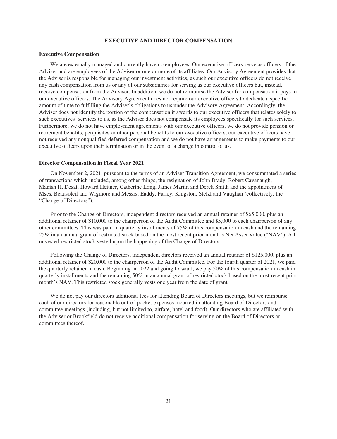#### **EXECUTIVE AND DIRECTOR COMPENSATION**

#### <span id="page-27-1"></span><span id="page-27-0"></span>**Executive Compensation**

We are externally managed and currently have no employees. Our executive officers serve as officers of the Adviser and are employees of the Adviser or one or more of its affiliates. Our Advisory Agreement provides that the Adviser is responsible for managing our investment activities, as such our executive officers do not receive any cash compensation from us or any of our subsidiaries for serving as our executive officers but, instead, receive compensation from the Adviser. In addition, we do not reimburse the Adviser for compensation it pays to our executive officers. The Advisory Agreement does not require our executive officers to dedicate a specific amount of time to fulfilling the Adviser's obligations to us under the Advisory Agreement. Accordingly, the Adviser does not identify the portion of the compensation it awards to our executive officers that relates solely to such executives' services to us, as the Adviser does not compensate its employees specifically for such services. Furthermore, we do not have employment agreements with our executive officers, we do not provide pension or retirement benefits, perquisites or other personal benefits to our executive officers, our executive officers have not received any nonqualified deferred compensation and we do not have arrangements to make payments to our executive officers upon their termination or in the event of a change in control of us.

#### <span id="page-27-2"></span>**Director Compensation in Fiscal Year 2021**

On November 2, 2021, pursuant to the terms of an Adviser Transition Agreement, we consummated a series of transactions which included, among other things, the resignation of John Brady, Robert Cavanaugh, Manish H. Desai, Howard Heitner, Catherine Long, James Martin and Derek Smith and the appointment of Mses. Beausoleil and Wigmore and Messrs. Eaddy, Farley, Kingston, Stelzl and Vaughan (collectively, the "Change of Directors").

Prior to the Change of Directors, independent directors received an annual retainer of \$65,000, plus an additional retainer of \$10,000 to the chairperson of the Audit Committee and \$5,000 to each chairperson of any other committees. This was paid in quarterly installments of 75% of this compensation in cash and the remaining 25% in an annual grant of restricted stock based on the most recent prior month's Net Asset Value ("NAV"). All unvested restricted stock vested upon the happening of the Change of Directors.

Following the Change of Directors, independent directors received an annual retainer of \$125,000, plus an additional retainer of \$20,000 to the chairperson of the Audit Committee. For the fourth quarter of 2021, we paid the quarterly retainer in cash. Beginning in 2022 and going forward, we pay 50% of this compensation in cash in quarterly installments and the remaining 50% in an annual grant of restricted stock based on the most recent prior month's NAV. This restricted stock generally vests one year from the date of grant.

We do not pay our directors additional fees for attending Board of Directors meetings, but we reimburse each of our directors for reasonable out-of-pocket expenses incurred in attending Board of Directors and committee meetings (including, but not limited to, airfare, hotel and food). Our directors who are affiliated with the Adviser or Brookfield do not receive additional compensation for serving on the Board of Directors or committees thereof.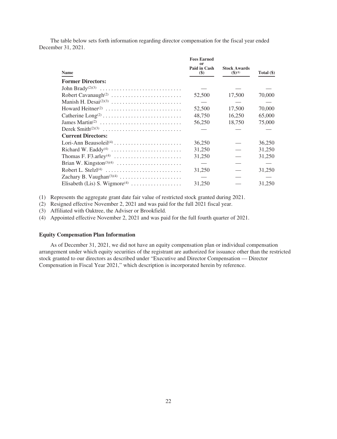The table below sets forth information regarding director compensation for the fiscal year ended December 31, 2021.

|                                     | <b>Fees Earned</b><br>0r |                                      |            |
|-------------------------------------|--------------------------|--------------------------------------|------------|
| <b>Name</b>                         | Paid in Cash<br>$(\$)$   | <b>Stock Awards</b><br>$($ \$ $)(1)$ | Total (\$) |
| <b>Former Directors:</b>            |                          |                                      |            |
|                                     |                          |                                      |            |
| Robert Cavanaugh <sup>(2)</sup>     | 52,500                   | 17,500                               | 70,000     |
| Manish H. Desai $^{(2)(3)}$         |                          |                                      |            |
| Howard Heitner <sup>(2)</sup>       | 52,500                   | 17.500                               | 70,000     |
|                                     | 48,750                   | 16,250                               | 65,000     |
| James Martin <sup>(2)</sup>         | 56,250                   | 18,750                               | 75,000     |
| Derek Smith <sup>(2)(3)</sup>       |                          |                                      |            |
| <b>Current Directors:</b>           |                          |                                      |            |
|                                     | 36,250                   |                                      | 36,250     |
|                                     | 31,250                   |                                      | 31,250     |
|                                     | 31,250                   |                                      | 31,250     |
| Brian W. Kingston <sup>(3)(4)</sup> |                          |                                      |            |
| Robert L. Stelz $l^{(4)}$           | 31,250                   |                                      | 31,250     |
|                                     |                          |                                      |            |
|                                     | 31,250                   |                                      | 31,250     |

(1) Represents the aggregate grant date fair value of restricted stock granted during 2021.

(2) Resigned effective November 2, 2021 and was paid for the full 2021 fiscal year.

(3) Affiliated with Oaktree, the Adviser or Brookfield.

(4) Appointed effective November 2, 2021 and was paid for the full fourth quarter of 2021.

#### <span id="page-28-0"></span>**Equity Compensation Plan Information**

As of December 31, 2021, we did not have an equity compensation plan or individual compensation arrangement under which equity securities of the registrant are authorized for issuance other than the restricted stock granted to our directors as described under "Executive and Director Compensation — Director Compensation in Fiscal Year 2021," which description is incorporated herein by reference.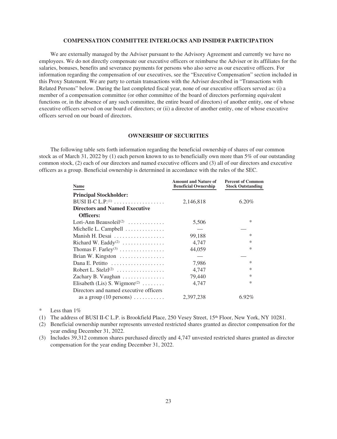#### **COMPENSATION COMMITTEE INTERLOCKS AND INSIDER PARTICIPATION**

<span id="page-29-0"></span>We are externally managed by the Adviser pursuant to the Advisory Agreement and currently we have no employees. We do not directly compensate our executive officers or reimburse the Adviser or its affiliates for the salaries, bonuses, benefits and severance payments for persons who also serve as our executive officers. For information regarding the compensation of our executives, see the "Executive Compensation" section included in this Proxy Statement. We are party to certain transactions with the Adviser described in "Transactions with Related Persons" below. During the last completed fiscal year, none of our executive officers served as: (i) a member of a compensation committee (or other committee of the board of directors performing equivalent functions or, in the absence of any such committee, the entire board of directors) of another entity, one of whose executive officers served on our board of directors; or (ii) a director of another entity, one of whose executive officers served on our board of directors.

#### **OWNERSHIP OF SECURITIES**

<span id="page-29-1"></span>The following table sets forth information regarding the beneficial ownership of shares of our common stock as of March 31, 2022 by (1) each person known to us to beneficially own more than 5% of our outstanding common stock, (2) each of our directors and named executive officers and (3) all of our directors and executive officers as a group. Beneficial ownership is determined in accordance with the rules of the SEC.

| <b>Name</b>                                         | <b>Amount and Nature of</b><br><b>Beneficial Ownership</b> | <b>Percent of Common</b><br><b>Stock Outstanding</b> |
|-----------------------------------------------------|------------------------------------------------------------|------------------------------------------------------|
| <b>Principal Stockholder:</b>                       |                                                            |                                                      |
| BUSI II-C L.P. <sup>(1)</sup>                       | 2,146,818                                                  | 6.20%                                                |
| <b>Directors and Named Executive</b>                |                                                            |                                                      |
| <b>Officers:</b>                                    |                                                            |                                                      |
| Lori-Ann Beausoleil <sup>(2)</sup>                  | 5,506                                                      | $\ast$                                               |
| Michelle L. Campbell                                |                                                            |                                                      |
| Manish H. Desai                                     | 99,188                                                     | $\ast$                                               |
| Richard W. Eaddy <sup>(2)</sup>                     | 4,747                                                      | $\ast$                                               |
| Thomas F. Farley <sup>(3)</sup>                     | 44,059                                                     | $\ast$                                               |
| Brian W. Kingston                                   |                                                            |                                                      |
|                                                     | 7,986                                                      | $\ast$                                               |
| Robert L. Stelzl <sup>(2)</sup>                     | 4,747                                                      | $\ast$                                               |
| Zachary B. Vaughan                                  | 79,440                                                     | $\ast$                                               |
| Elisabeth (Lis) S. Wigmore <sup>(2)</sup>           | 4,747                                                      | $\ast$                                               |
| Directors and named executive officers              |                                                            |                                                      |
| as a group $(10 \text{ persons}) \dots \dots \dots$ | 2,397,238                                                  | $6.92\%$                                             |
|                                                     |                                                            |                                                      |

\* Less than 1%

(1) The address of BUSI II-C L.P. is Brookfield Place, 250 Vesey Street, 15th Floor, New York, NY 10281.

(2) Beneficial ownership number represents unvested restricted shares granted as director compensation for the year ending December 31, 2022.

(3) Includes 39,312 common shares purchased directly and 4,747 unvested restricted shares granted as director compensation for the year ending December 31, 2022.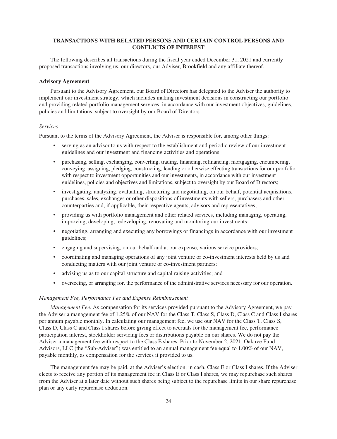#### **TRANSACTIONS WITH RELATED PERSONS AND CERTAIN CONTROL PERSONS AND CONFLICTS OF INTEREST**

<span id="page-30-0"></span>The following describes all transactions during the fiscal year ended December 31, 2021 and currently proposed transactions involving us, our directors, our Adviser, Brookfield and any affiliate thereof.

#### **Advisory Agreement**

Pursuant to the Advisory Agreement, our Board of Directors has delegated to the Adviser the authority to implement our investment strategy, which includes making investment decisions in constructing our portfolio and providing related portfolio management services, in accordance with our investment objectives, guidelines, policies and limitations, subject to oversight by our Board of Directors.

#### *Services*

Pursuant to the terms of the Advisory Agreement, the Adviser is responsible for, among other things:

- serving as an advisor to us with respect to the establishment and periodic review of our investment guidelines and our investment and financing activities and operations;
- purchasing, selling, exchanging, converting, trading, financing, refinancing, mortgaging, encumbering, conveying, assigning, pledging, constructing, lending or otherwise effecting transactions for our portfolio with respect to investment opportunities and our investments, in accordance with our investment guidelines, policies and objectives and limitations, subject to oversight by our Board of Directors;
- investigating, analyzing, evaluating, structuring and negotiating, on our behalf, potential acquisitions, purchases, sales, exchanges or other dispositions of investments with sellers, purchasers and other counterparties and, if applicable, their respective agents, advisors and representatives;
- providing us with portfolio management and other related services, including managing, operating, improving, developing, redeveloping, renovating and monitoring our investments;
- negotiating, arranging and executing any borrowings or financings in accordance with our investment guidelines;
- engaging and supervising, on our behalf and at our expense, various service providers;
- coordinating and managing operations of any joint venture or co-investment interests held by us and conducting matters with our joint venture or co-investment partners;
- advising us as to our capital structure and capital raising activities; and
- overseeing, or arranging for, the performance of the administrative services necessary for our operation.

#### *Management Fee, Performance Fee and Expense Reimbursement*

*Management Fee*. As compensation for its services provided pursuant to the Advisory Agreement, we pay the Adviser a management fee of 1.25% of our NAV for the Class T, Class S, Class D, Class C and Class I shares per annum payable monthly. In calculating our management fee, we use our NAV for the Class T, Class S, Class D, Class C and Class I shares before giving effect to accruals for the management fee, performance participation interest, stockholder servicing fees or distributions payable on our shares. We do not pay the Adviser a management fee with respect to the Class E shares. Prior to November 2, 2021, Oaktree Fund Advisors, LLC (the "Sub-Adviser") was entitled to an annual management fee equal to 1.00% of our NAV, payable monthly, as compensation for the services it provided to us.

The management fee may be paid, at the Adviser's election, in cash, Class E or Class I shares. If the Adviser elects to receive any portion of its management fee in Class E or Class I shares, we may repurchase such shares from the Adviser at a later date without such shares being subject to the repurchase limits in our share repurchase plan or any early repurchase deduction.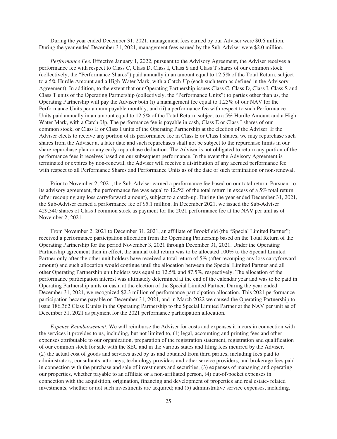During the year ended December 31, 2021, management fees earned by our Adviser were \$0.6 million. During the year ended December 31, 2021, management fees earned by the Sub-Adviser were \$2.0 million.

*Performance Fee*. Effective January 1, 2022, pursuant to the Advisory Agreement, the Adviser receives a performance fee with respect to Class C, Class D, Class I, Class S and Class T shares of our common stock (collectively, the "Performance Shares") paid annually in an amount equal to 12.5% of the Total Return, subject to a 5% Hurdle Amount and a High-Water Mark, with a Catch-Up (each such term as defined in the Advisory Agreement). In addition, to the extent that our Operating Partnership issues Class C, Class D, Class I, Class S and Class T units of the Operating Partnership (collectively, the "Performance Units") to parties other than us, the Operating Partnership will pay the Adviser both (i) a management fee equal to 1.25% of our NAV for the Performance Units per annum payable monthly, and (ii) a performance fee with respect to such Performance Units paid annually in an amount equal to 12.5% of the Total Return, subject to a 5% Hurdle Amount and a High Water Mark, with a Catch-Up. The performance fee is payable in cash, Class E or Class I shares of our common stock, or Class E or Class I units of the Operating Partnership at the election of the Adviser. If the Adviser elects to receive any portion of its performance fee in Class E or Class I shares, we may repurchase such shares from the Adviser at a later date and such repurchases shall not be subject to the repurchase limits in our share repurchase plan or any early repurchase deduction. The Adviser is not obligated to return any portion of the performance fees it receives based on our subsequent performance. In the event the Advisory Agreement is terminated or expires by non-renewal, the Adviser will receive a distribution of any accrued performance fee with respect to all Performance Shares and Performance Units as of the date of such termination or non-renewal.

Prior to November 2, 2021, the Sub-Adviser earned a performance fee based on our total return. Pursuant to its advisory agreement, the performance fee was equal to 12.5% of the total return in excess of a 5% total return (after recouping any loss carryforward amount), subject to a catch-up. During the year ended December 31, 2021, the Sub-Adviser earned a performance fee of \$5.1 million. In December 2021, we issued the Sub-Adviser 429,340 shares of Class I common stock as payment for the 2021 performance fee at the NAV per unit as of November 2, 2021.

From November 2, 2021 to December 31, 2021, an affiliate of Brookfield (the "Special Limited Partner") received a performance participation allocation from the Operating Partnership based on the Total Return of the Operating Partnership for the period November 3, 2021 through December 31, 2021. Under the Operating Partnership agreement then in effect, the annual total return was to be allocated 100% to the Special Limited Partner only after the other unit holders have received a total return of 5% (after recouping any loss carryforward amount) and such allocation would continue until the allocation between the Special Limited Partner and all other Operating Partnership unit holders was equal to 12.5% and 87.5%, respectively. The allocation of the performance participation interest was ultimately determined at the end of the calendar year and was to be paid in Operating Partnership units or cash, at the election of the Special Limited Partner. During the year ended December 31, 2021, we recognized \$2.3 million of performance participation allocation. This 2021 performance participation became payable on December 31, 2021, and in March 2022 we caused the Operating Partnership to issue 186,362 Class E units in the Operating Partnership to the Special Limited Partner at the NAV per unit as of December 31, 2021 as payment for the 2021 performance participation allocation.

*Expense Reimbursement*. We will reimburse the Adviser for costs and expenses it incurs in connection with the services it provides to us, including, but not limited to, (1) legal, accounting and printing fees and other expenses attributable to our organization, preparation of the registration statement, registration and qualification of our common stock for sale with the SEC and in the various states and filing fees incurred by the Adviser, (2) the actual cost of goods and services used by us and obtained from third parties, including fees paid to administrators, consultants, attorneys, technology providers and other service providers, and brokerage fees paid in connection with the purchase and sale of investments and securities, (3) expenses of managing and operating our properties, whether payable to an affiliate or a non-affiliated person, (4) out-of-pocket expenses in connection with the acquisition, origination, financing and development of properties and real estate- related investments, whether or not such investments are acquired; and (5) administrative service expenses, including,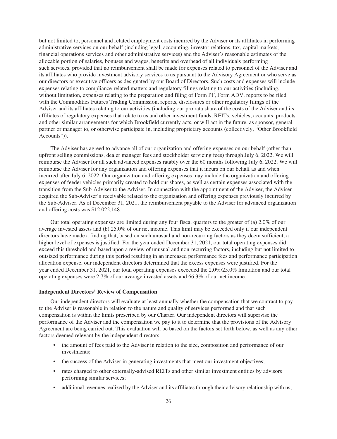but not limited to, personnel and related employment costs incurred by the Adviser or its affiliates in performing administrative services on our behalf (including legal, accounting, investor relations, tax, capital markets, financial operations services and other administrative services) and the Adviser's reasonable estimates of the allocable portion of salaries, bonuses and wages, benefits and overhead of all individuals performing such services, provided that no reimbursement shall be made for expenses related to personnel of the Adviser and its affiliates who provide investment advisory services to us pursuant to the Advisory Agreement or who serve as our directors or executive officers as designated by our Board of Directors. Such costs and expenses will include expenses relating to compliance-related matters and regulatory filings relating to our activities (including, without limitation, expenses relating to the preparation and filing of Form PF, Form ADV, reports to be filed with the Commodities Futures Trading Commission, reports, disclosures or other regulatory filings of the Adviser and its affiliates relating to our activities (including our pro rata share of the costs of the Adviser and its affiliates of regulatory expenses that relate to us and other investment funds, REITs, vehicles, accounts, products and other similar arrangements for which Brookfield currently acts, or will act in the future, as sponsor, general partner or manager to, or otherwise participate in, including proprietary accounts (collectively, "Other Brookfield Accounts")).

The Adviser has agreed to advance all of our organization and offering expenses on our behalf (other than upfront selling commissions, dealer manager fees and stockholder servicing fees) through July 6, 2022. We will reimburse the Adviser for all such advanced expenses ratably over the 60 months following July 6, 2022. We will reimburse the Adviser for any organization and offering expenses that it incurs on our behalf as and when incurred after July 6, 2022. Our organization and offering expenses may include the organization and offering expenses of feeder vehicles primarily created to hold our shares, as well as certain expenses associated with the transition from the Sub-Adviser to the Adviser. In connection with the appointment of the Adviser, the Adviser acquired the Sub-Adviser's receivable related to the organization and offering expenses previously incurred by the Sub-Adviser. As of December 31, 2021, the reimbursement payable to the Adviser for advanced organization and offering costs was \$12,022,148.

Our total operating expenses are limited during any four fiscal quarters to the greater of (a) 2.0% of our average invested assets and (b) 25.0% of our net income. This limit may be exceeded only if our independent directors have made a finding that, based on such unusual and non-recurring factors as they deem sufficient, a higher level of expenses is justified. For the year ended December 31, 2021, our total operating expenses did exceed this threshold and based upon a review of unusual and non-recurring factors, including but not limited to outsized performance during this period resulting in an increased performance fees and performance participation allocation expense, our independent directors determined that the excess expenses were justified. For the year ended December 31, 2021, our total operating expenses exceeded the 2.0%/25.0% limitation and our total operating expenses were 2.7% of our average invested assets and 66.3% of our net income.

#### **Independent Directors' Review of Compensation**

Our independent directors will evaluate at least annually whether the compensation that we contract to pay to the Adviser is reasonable in relation to the nature and quality of services performed and that such compensation is within the limits prescribed by our Charter. Our independent directors will supervise the performance of the Adviser and the compensation we pay to it to determine that the provisions of the Advisory Agreement are being carried out. This evaluation will be based on the factors set forth below, as well as any other factors deemed relevant by the independent directors:

- the amount of fees paid to the Adviser in relation to the size, composition and performance of our investments;
- the success of the Adviser in generating investments that meet our investment objectives;
- rates charged to other externally-advised REITs and other similar investment entities by advisors performing similar services;
- additional revenues realized by the Adviser and its affiliates through their advisory relationship with us;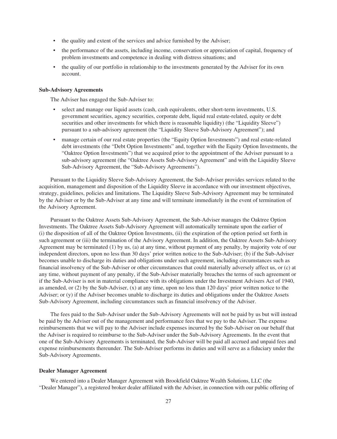- the quality and extent of the services and advice furnished by the Adviser;
- the performance of the assets, including income, conservation or appreciation of capital, frequency of problem investments and competence in dealing with distress situations; and
- the quality of our portfolio in relationship to the investments generated by the Adviser for its own account.

#### **Sub-Advisory Agreements**

The Adviser has engaged the Sub-Adviser to:

- select and manage our liquid assets (cash, cash equivalents, other short-term investments, U.S. government securities, agency securities, corporate debt, liquid real estate-related, equity or debt securities and other investments for which there is reasonable liquidity) (the "Liquidity Sleeve") pursuant to a sub-advisory agreement (the "Liquidity Sleeve Sub-Advisory Agreement"); and
- manage certain of our real estate properties (the "Equity Option Investments") and real estate-related debt investments (the "Debt Option Investments" and, together with the Equity Option Investments, the "Oaktree Option Investments") that we acquired prior to the appointment of the Adviser pursuant to a sub-advisory agreement (the "Oaktree Assets Sub-Advisory Agreement" and with the Liquidity Sleeve Sub-Advisory Agreement, the "Sub-Advisory Agreements").

Pursuant to the Liquidity Sleeve Sub-Advisory Agreement, the Sub-Adviser provides services related to the acquisition, management and disposition of the Liquidity Sleeve in accordance with our investment objectives, strategy, guidelines, policies and limitations. The Liquidity Sleeve Sub-Advisory Agreement may be terminated by the Adviser or by the Sub-Adviser at any time and will terminate immediately in the event of termination of the Advisory Agreement.

Pursuant to the Oaktree Assets Sub-Advisory Agreement, the Sub-Adviser manages the Oaktree Option Investments. The Oaktree Assets Sub-Advisory Agreement will automatically terminate upon the earlier of (i) the disposition of all of the Oaktree Option Investments, (ii) the expiration of the option period set forth in such agreement or (iii) the termination of the Advisory Agreement. In addition, the Oaktree Assets Sub-Advisory Agreement may be terminated (1) by us, (a) at any time, without payment of any penalty, by majority vote of our independent directors, upon no less than 30 days' prior written notice to the Sub-Adviser; (b) if the Sub-Adviser becomes unable to discharge its duties and obligations under such agreement, including circumstances such as financial insolvency of the Sub-Adviser or other circumstances that could materially adversely affect us, or (c) at any time, without payment of any penalty, if the Sub-Adviser materially breaches the terms of such agreement or if the Sub-Adviser is not in material compliance with its obligations under the Investment Advisers Act of 1940, as amended, or (2) by the Sub-Adviser, (x) at any time, upon no less than 120 days' prior written notice to the Adviser; or (y) if the Adviser becomes unable to discharge its duties and obligations under the Oaktree Assets Sub-Advisory Agreement, including circumstances such as financial insolvency of the Adviser.

The fees paid to the Sub-Adviser under the Sub-Advisory Agreements will not be paid by us but will instead be paid by the Adviser out of the management and performance fees that we pay to the Adviser. The expense reimbursements that we will pay to the Adviser include expenses incurred by the Sub-Adviser on our behalf that the Adviser is required to reimburse to the Sub-Adviser under the Sub-Advisory Agreements. In the event that one of the Sub-Advisory Agreements is terminated, the Sub-Adviser will be paid all accrued and unpaid fees and expense reimbursements thereunder. The Sub-Adviser performs its duties and will serve as a fiduciary under the Sub-Advisory Agreements.

#### **Dealer Manager Agreement**

We entered into a Dealer Manager Agreement with Brookfield Oaktree Wealth Solutions, LLC (the "Dealer Manager"), a registered broker dealer affiliated with the Adviser, in connection with our public offering of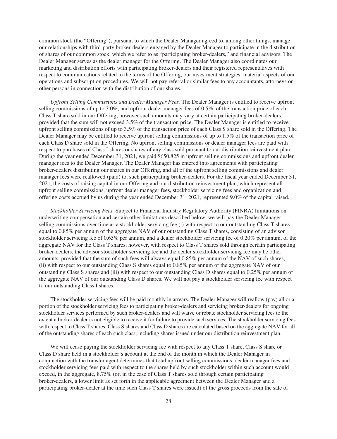common stock (the "Offering"), pursuant to which the Dealer Manager agreed to, among other things, manage our relationships with third-party broker-dealers engaged by the Dealer Manager to participate in the distribution of shares of our common stock, which we refer to as "participating broker-dealers," and financial advisors. The Dealer Manager serves as the dealer manager for the Offering. The Dealer Manager also coordinates our marketing and distribution efforts with participating broker-dealers and their registered representatives with respect to communications related to the terms of the Offering, our investment strategies, material aspects of our operations and subscription procedures. We will not pay referral or similar fees to any accountants, attorneys or other persons in connection with the distribution of our shares.

*Upfront Selling Commissions and Dealer Manager Fees.* The Dealer Manager is entitled to receive upfront selling commissions of up to 3.0%, and upfront dealer manager fees of 0.5%, of the transaction price of each Class T share sold in our Offering; however such amounts may vary at certain participating broker-dealers, provided that the sum will not exceed 3.5% of the transaction price. The Dealer Manager is entitled to receive upfront selling commissions of up to 3.5% of the transaction price of each Class S share sold in the Offering. The Dealer Manager may be entitled to receive upfront selling commissions of up to 1.5% of the transaction price of each Class D share sold in the Offering. No upfront selling commissions or dealer manager fees are paid with respect to purchases of Class I shares or shares of any class sold pursuant to our distribution reinvestment plan. During the year ended December 31, 2021, we paid \$650,825 in upfront selling commissions and upfront dealer manager fees to the Dealer Manager. The Dealer Manager has entered into agreements with participating broker-dealers distributing our shares in our Offering, and all of the upfront selling commissions and dealer manager fees were reallowed (paid) to, such participating broker-dealers. For the fiscal year ended December 31, 2021, the costs of raising capital in our Offering and our distribution reinvestment plan, which represent all upfront selling commissions, upfront dealer manager fees, stockholder servicing fees and organization and offering costs accrued by us during the year ended December 31, 2021, represented 9.0% of the capital raised.

*Stockholder Servicing Fees.* Subject to Financial Industry Regulatory Authority (FINRA) limitations on underwriting compensation and certain other limitations described below, we will pay the Dealer Manager selling commissions over time as a stockholder servicing fee (i) with respect to our outstanding Class T shares equal to 0.85% per annum of the aggregate NAV of our outstanding Class T shares, consisting of an advisor stockholder servicing fee of 0.65% per annum, and a dealer stockholder servicing fee of 0.20% per annum, of the aggregate NAV for the Class T shares, however, with respect to Class T shares sold through certain participating broker-dealers, the advisor stockholder servicing fee and the dealer stockholder servicing fee may be other amounts, provided that the sum of such fees will always equal 0.85% per annum of the NAV of such shares, (ii) with respect to our outstanding Class S shares equal to 0.85% per annum of the aggregate NAV of our outstanding Class S shares and (iii) with respect to our outstanding Class D shares equal to 0.25% per annum of the aggregate NAV of our outstanding Class D shares. We will not pay a stockholder servicing fee with respect to our outstanding Class I shares.

The stockholder servicing fees will be paid monthly in arrears. The Dealer Manager will reallow (pay) all or a portion of the stockholder servicing fees to participating broker-dealers and servicing broker-dealers for ongoing stockholder services performed by such broker-dealers and will waive or rebate stockholder servicing fees to the extent a broker-dealer is not eligible to receive it for failure to provide such services. The stockholder servicing fees with respect to Class T shares, Class S shares and Class D shares are calculated based on the aggregate NAV for all of the outstanding shares of each such class, including shares issued under our distribution reinvestment plan.

We will cease paying the stockholder servicing fee with respect to any Class T share, Class S share or Class D share held in a stockholder's account at the end of the month in which the Dealer Manager in conjunction with the transfer agent determines that total upfront selling commissions, dealer manager fees and stockholder servicing fees paid with respect to the shares held by such stockholder within such account would exceed, in the aggregate, 8.75% (or, in the case of Class T shares sold through certain participating broker-dealers, a lower limit as set forth in the applicable agreement between the Dealer Manager and a participating broker-dealer at the time such Class T shares were issued) of the gross proceeds from the sale of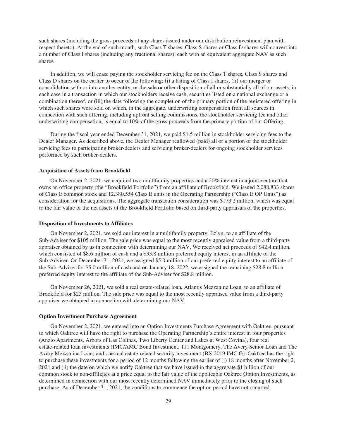such shares (including the gross proceeds of any shares issued under our distribution reinvestment plan with respect thereto). At the end of such month, such Class T shares, Class S shares or Class D shares will convert into a number of Class I shares (including any fractional shares), each with an equivalent aggregate NAV as such shares.

In addition, we will cease paying the stockholder servicing fee on the Class T shares, Class S shares and Class D shares on the earlier to occur of the following: (i) a listing of Class I shares, (ii) our merger or consolidation with or into another entity, or the sale or other disposition of all or substantially all of our assets, in each case in a transaction in which our stockholders receive cash, securities listed on a national exchange or a combination thereof, or (iii) the date following the completion of the primary portion of the registered offering in which such shares were sold on which, in the aggregate, underwriting compensation from all sources in connection with such offering, including upfront selling commissions, the stockholder servicing fee and other underwriting compensation, is equal to 10% of the gross proceeds from the primary portion of our Offering.

During the fiscal year ended December 31, 2021, we paid \$1.5 million in stockholder servicing fees to the Dealer Manager. As described above, the Dealer Manager reallowed (paid) all or a portion of the stockholder servicing fees to participating broker-dealers and servicing broker-dealers for ongoing stockholder services performed by such broker-dealers.

#### **Acquisition of Assets from Brookfield**

On November 2, 2021, we acquired two multifamily properties and a 20% interest in a joint venture that owns an office property (the "Brookfield Portfolio") from an affiliate of Brookfield. We issued 2,088,833 shares of Class E common stock and 12,380,554 Class E units in the Operating Partnership ("Class E OP Units") as consideration for the acquisitions. The aggregate transaction consideration was \$173.2 million, which was equal to the fair value of the net assets of the Brookfield Portfolio based on third-party appraisals of the properties.

#### **Disposition of Investments to Affiliates**

On November 2, 2021, we sold our interest in a multifamily property, Ezlyn, to an affiliate of the Sub-Adviser for \$105 million. The sale price was equal to the most recently appraised value from a third-party appraiser obtained by us in connection with determining our NAV. We received net proceeds of \$42.4 million, which consisted of \$8.6 million of cash and a \$33.8 million preferred equity interest in an affiliate of the Sub-Adviser. On December 31, 2021, we assigned \$5.0 million of our preferred equity interest to an affiliate of the Sub-Adviser for \$5.0 million of cash and on January 18, 2022, we assigned the remaining \$28.8 million preferred equity interest to the affiliate of the Sub-Adviser for \$28.8 million.

On November 26, 2021, we sold a real estate-related loan, Atlantis Mezzanine Loan, to an affiliate of Brookfield for \$25 million. The sale price was equal to the most recently appraised value from a third-party appraiser we obtained in connection with determining our NAV.

#### **Option Investment Purchase Agreement**

On November 2, 2021, we entered into an Option Investments Purchase Agreement with Oaktree, pursuant to which Oaktree will have the right to purchase the Operating Partnership's entire interest in four properties (Anzio Apartments, Arbors of Las Colinas, Two Liberty Center and Lakes at West Covina), four real estate-related loan investments (IMC/AMC Bond Investment, 111 Montgomery, The Avery Senior Loan and The Avery Mezzanine Loan) and one real estate-related security investment (BX 2019 IMC G). Oaktree has the right to purchase these investments for a period of 12 months following the earlier of (i) 18 months after November 2, 2021 and (ii) the date on which we notify Oaktree that we have issued in the aggregate \$1 billion of our common stock to non-affiliates at a price equal to the fair value of the applicable Oaktree Option Investments, as determined in connection with our most recently determined NAV immediately prior to the closing of such purchase. As of December 31, 2021, the conditions to commence the option period have not occurred.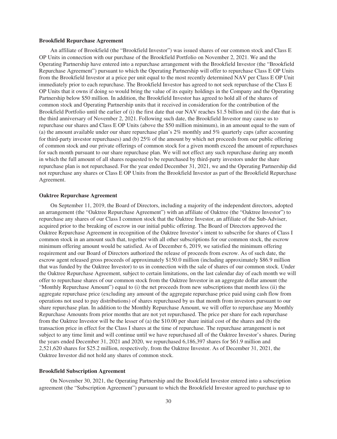#### **Brookfield Repurchase Agreement**

An affiliate of Brookfield (the "Brookfield Investor") was issued shares of our common stock and Class E OP Units in connection with our purchase of the Brookfield Portfolio on November 2, 2021. We and the Operating Partnership have entered into a repurchase arrangement with the Brookfield Investor (the "Brookfield Repurchase Agreement") pursuant to which the Operating Partnership will offer to repurchase Class E OP Units from the Brookfield Investor at a price per unit equal to the most recently determined NAV per Class E OP Unit immediately prior to each repurchase. The Brookfield Investor has agreed to not seek repurchase of the Class E OP Units that it owns if doing so would bring the value of its equity holdings in the Company and the Operating Partnership below \$50 million. In addition, the Brookfield Investor has agreed to hold all of the shares of common stock and Operating Partnership units that it received in consideration for the contribution of the Brookfield Portfolio until the earlier of (i) the first date that our NAV reaches \$1.5 billion and (ii) the date that is the third anniversary of November 2, 2021. Following such date, the Brookfield Investor may cause us to repurchase our shares and Class E OP Units (above the \$50 million minimum), in an amount equal to the sum of (a) the amount available under our share repurchase plan's 2% monthly and 5% quarterly caps (after accounting for third-party investor repurchases) and (b) 25% of the amount by which net proceeds from our public offering of common stock and our private offerings of common stock for a given month exceed the amount of repurchases for such month pursuant to our share repurchase plan. We will not effect any such repurchase during any month in which the full amount of all shares requested to be repurchased by third-party investors under the share repurchase plan is not repurchased. For the year ended December 31, 2021, we and the Operating Partnership did not repurchase any shares or Class E OP Units from the Brookfield Investor as part of the Brookfield Repurchase Agreement.

#### **Oaktree Repurchase Agreement**

On September 11, 2019, the Board of Directors, including a majority of the independent directors, adopted an arrangement (the "Oaktree Repurchase Agreement") with an affiliate of Oaktree (the "Oaktree Investor") to repurchase any shares of our Class I common stock that the Oaktree Investor, an affiliate of the Sub-Adviser, acquired prior to the breaking of escrow in our initial public offering. The Board of Directors approved the Oaktree Repurchase Agreement in recognition of the Oaktree Investor's intent to subscribe for shares of Class I common stock in an amount such that, together with all other subscriptions for our common stock, the escrow minimum offering amount would be satisfied. As of December 6, 2019, we satisfied the minimum offering requirement and our Board of Directors authorized the release of proceeds from escrow. As of such date, the escrow agent released gross proceeds of approximately \$150.0 million (including approximately \$86.9 million that was funded by the Oaktree Investor) to us in connection with the sale of shares of our common stock. Under the Oaktree Repurchase Agreement, subject to certain limitations, on the last calendar day of each month we will offer to repurchase shares of our common stock from the Oaktree Investor in an aggregate dollar amount (the "Monthly Repurchase Amount") equal to (i) the net proceeds from new subscriptions that month less (ii) the aggregate repurchase price (excluding any amount of the aggregate repurchase price paid using cash flow from operations not used to pay distributions) of shares repurchased by us that month from investors pursuant to our share repurchase plan. In addition to the Monthly Repurchase Amount, we will offer to repurchase any Monthly Repurchase Amounts from prior months that are not yet repurchased. The price per share for each repurchase from the Oaktree Investor will be the lesser of (a) the \$10.00 per share initial cost of the shares and (b) the transaction price in effect for the Class I shares at the time of repurchase. The repurchase arrangement is not subject to any time limit and will continue until we have repurchased all of the Oaktree Investor's shares. During the years ended December 31, 2021 and 2020, we repurchased 6,186,397 shares for \$61.9 million and 2,521,620 shares for \$25.2 million, respectively, from the Oaktree Investor. As of December 31, 2021, the Oaktree Investor did not hold any shares of common stock.

#### **Brookfield Subscription Agreement**

On November 30, 2021, the Operating Partnership and the Brookfield Investor entered into a subscription agreement (the "Subscription Agreement") pursuant to which the Brookfield Investor agreed to purchase up to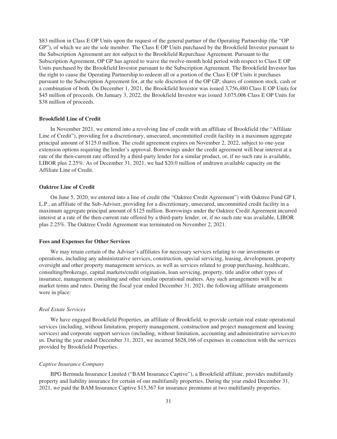\$83 million in Class E OP Units upon the request of the general partner of the Operating Partnership (the "OP GP"), of which we are the sole member. The Class E OP Units purchased by the Brookfield Investor pursuant to the Subscription Agreement are not subject to the Brookfield Repurchase Agreement. Pursuant to the Subscription Agreement, OP GP has agreed to waive the twelve-month hold period with respect to Class E OP Units purchased by the Brookfield Investor pursuant to the Subscription Agreement. The Brookfield Investor has the right to cause the Operating Partnership to redeem all or a portion of the Class E OP Units it purchases pursuant to the Subscription Agreement for, at the sole discretion of the OP GP, shares of common stock, cash or a combination of both. On December 1, 2021, the Brookfield Investor was issued 3,756,480 Class E OP Units for \$45 million of proceeds. On January 3, 2022, the Brookfield Investor was issued 3,075,006 Class E OP Units for \$38 million of proceeds.

#### **Brookfield Line of Credit**

In November 2021, we entered into a revolving line of credit with an affiliate of Brookfield (the "Affiliate Line of Credit"), providing for a discretionary, unsecured, uncommitted credit facility in a maximum aggregate principal amount of \$125.0 million. The credit agreement expires on November 2, 2022, subject to one-year extension options requiring the lender's approval. Borrowings under the credit agreement will bear interest at a rate of the then-current rate offered by a third-party lender for a similar product, or, if no such rate is available, LIBOR plus 2.25%. As of December 31, 2021, we had \$20.0 million of undrawn available capacity on the Affiliate Line of Credit.

#### **Oaktree Line of Credit**

On June 5, 2020, we entered into a line of credit (the "Oaktree Credit Agreement") with Oaktree Fund GP I, L.P., an affiliate of the Sub-Adviser, providing for a discretionary, unsecured, uncommitted credit facility in a maximum aggregate principal amount of \$125 million. Borrowings under the Oaktree Credit Agreement incurred interest at a rate of the then-current rate offered by a third-party lender, or, if no such rate was available, LIBOR plus 2.25%. The Oaktree Credit Agreement was terminated on November 2, 2021.

#### **Fees and Expenses for Other Services**

We may retain certain of the Adviser's affiliates for necessary services relating to our investments or operations, including any administrative services, construction, special servicing, leasing, development, property oversight and other property management services, as well as services related to group purchasing, healthcare, consulting/brokerage, capital markets/credit origination, loan servicing, property, title and/or other types of insurance, management consulting and other similar operational matters. Any such arrangements will be at market terms and rates. During the fiscal year ended December 31, 2021, the following affiliate arrangements were in place:

#### *Real Estate Services*

We have engaged Brookfield Properties, an affiliate of Brookfield, to provide certain real estate operational services (including, without limitation, property management, construction and project management and leasing services) and corporate support services (including, without limitation, accounting and administrative services)to us. During the year ended December 31, 2021, we incurred \$628,166 of expenses in connection with the services provided by Brookfield Properties.

#### *Captive Insurance Company*

BPG Bermuda Insurance Limited ("BAM Insurance Captive"), a Brookfield affiliate, provides multifamily property and liability insurance for certain of our multifamily properties. During the year ended December 31, 2021, we paid the BAM Insurance Captive \$15,367 for insurance premiums at two multifamily properties.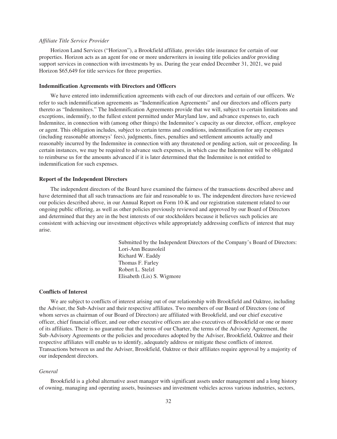#### *Affiliate Title Service Provider*

Horizon Land Services ("Horizon"), a Brookfield affiliate, provides title insurance for certain of our properties. Horizon acts as an agent for one or more underwriters in issuing title policies and/or providing support services in connection with investments by us. During the year ended December 31, 2021, we paid Horizon \$65,649 for title services for three properties.

#### **Indemnification Agreements with Directors and Officers**

We have entered into indemnification agreements with each of our directors and certain of our officers. We refer to such indemnification agreements as "Indemnification Agreements" and our directors and officers party thereto as "Indemnitees." The Indemnification Agreements provide that we will, subject to certain limitations and exceptions, indemnify, to the fullest extent permitted under Maryland law, and advance expenses to, each Indemnitee, in connection with (among other things) the Indemnitee's capacity as our director, officer, employee or agent. This obligation includes, subject to certain terms and conditions, indemnification for any expenses (including reasonable attorneys' fees), judgments, fines, penalties and settlement amounts actually and reasonably incurred by the Indemnitee in connection with any threatened or pending action, suit or proceeding. In certain instances, we may be required to advance such expenses, in which case the Indemnitee will be obligated to reimburse us for the amounts advanced if it is later determined that the Indemnitee is not entitled to indemnification for such expenses.

#### **Report of the Independent Directors**

The independent directors of the Board have examined the fairness of the transactions described above and have determined that all such transactions are fair and reasonable to us. The independent directors have reviewed our policies described above, in our Annual Report on Form 10-K and our registration statement related to our ongoing public offering, as well as other policies previously reviewed and approved by our Board of Directors and determined that they are in the best interests of our stockholders because it believes such policies are consistent with achieving our investment objectives while appropriately addressing conflicts of interest that may arise.

> Submitted by the Independent Directors of the Company's Board of Directors: Lori-Ann Beausoleil Richard W. Eaddy Thomas F. Farley Robert L. Stelzl Elisabeth (Lis) S. Wigmore

#### **Conflicts of Interest**

We are subject to conflicts of interest arising out of our relationship with Brookfield and Oaktree, including the Adviser, the Sub-Adviser and their respective affiliates. Two members of our Board of Directors (one of whom serves as chairman of our Board of Directors) are affiliated with Brookfield, and our chief executive officer, chief financial officer, and our other executive officers are also executives of Brookfield or one or more of its affiliates. There is no guarantee that the terms of our Charter, the terms of the Advisory Agreement, the Sub-Advisory Agreements or the policies and procedures adopted by the Adviser, Brookfield, Oaktree and their respective affiliates will enable us to identify, adequately address or mitigate these conflicts of interest. Transactions between us and the Adviser, Brookfield, Oaktree or their affiliates require approval by a majority of our independent directors.

#### *General*

Brookfield is a global alternative asset manager with significant assets under management and a long history of owning, managing and operating assets, businesses and investment vehicles across various industries, sectors,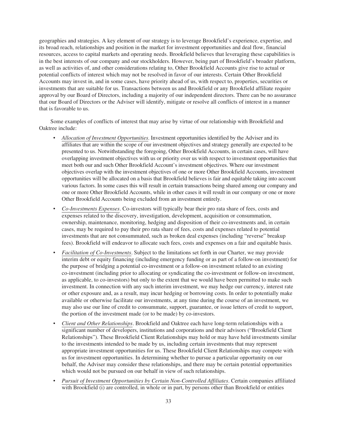geographies and strategies. A key element of our strategy is to leverage Brookfield's experience, expertise, and its broad reach, relationships and position in the market for investment opportunities and deal flow, financial resources, access to capital markets and operating needs. Brookfield believes that leveraging these capabilities is in the best interests of our company and our stockholders. However, being part of Brookfield's broader platform, as well as activities of, and other considerations relating to, Other Brookfield Accounts give rise to actual or potential conflicts of interest which may not be resolved in favor of our interests. Certain Other Brookfield Accounts may invest in, and in some cases, have priority ahead of us, with respect to, properties, securities or investments that are suitable for us. Transactions between us and Brookfield or any Brookfield affiliate require approval by our Board of Directors, including a majority of our independent directors. There can be no assurance that our Board of Directors or the Adviser will identify, mitigate or resolve all conflicts of interest in a manner that is favorable to us.

Some examples of conflicts of interest that may arise by virtue of our relationship with Brookfield and Oaktree include:

- *Allocation of Investment Opportunities*. Investment opportunities identified by the Adviser and its affiliates that are within the scope of our investment objectives and strategy generally are expected to be presented to us. Notwithstanding the foregoing, Other Brookfield Accounts, in certain cases, will have overlapping investment objectives with us or priority over us with respect to investment opportunities that meet both our and such Other Brookfield Account's investment objectives. Where our investment objectives overlap with the investment objectives of one or more Other Brookfield Accounts, investment opportunities will be allocated on a basis that Brookfield believes is fair and equitable taking into account various factors. In some cases this will result in certain transactions being shared among our company and one or more Other Brookfield Accounts, while in other cases it will result in our company or one or more Other Brookfield Accounts being excluded from an investment entirely.
- *Co-Investments Expenses*. Co-investors will typically bear their pro rata share of fees, costs and expenses related to the discovery, investigation, development, acquisition or consummation, ownership, maintenance, monitoring, hedging and disposition of their co-investments and, in certain cases, may be required to pay their pro rata share of fees, costs and expenses related to potential investments that are not consummated, such as broken deal expenses (including "reverse" breakup fees). Brookfield will endeavor to allocate such fees, costs and expenses on a fair and equitable basis.
- *Facilitation of Co-Investments*. Subject to the limitations set forth in our Charter, we may provide interim debt or equity financing (including emergency funding or as part of a follow-on investment) for the purpose of bridging a potential co-investment or a follow-on investment related to an existing co-investment (including prior to allocating or syndicating the co-investment or follow-on investment, as applicable, to co-investors) but only to the extent that we would have been permitted to make such investment. In connection with any such interim investment, we may hedge our currency, interest rate or other exposure and, as a result, may incur hedging or borrowing costs. In order to potentially make available or otherwise facilitate our investments, at any time during the course of an investment, we may also use our line of credit to consummate, support, guarantee, or issue letters of credit to support, the portion of the investment made (or to be made) by co-investors.
- *Client and Other Relationships*. Brookfield and Oaktree each have long-term relationships with a significant number of developers, institutions and corporations and their advisors ("Brookfield Client Relationships"). These Brookfield Client Relationships may hold or may have held investments similar to the investments intended to be made by us, including certain investments that may represent appropriate investment opportunities for us. These Brookfield Client Relationships may compete with us for investment opportunities. In determining whether to pursue a particular opportunity on our behalf, the Adviser may consider these relationships, and there may be certain potential opportunities which would not be pursued on our behalf in view of such relationships.
- *Pursuit of Investment Opportunities by Certain Non-Controlled Affiliates*. Certain companies affiliated with Brookfield (i) are controlled, in whole or in part, by persons other than Brookfield or entities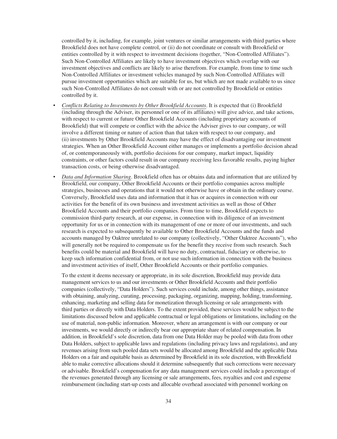controlled by it, including, for example, joint ventures or similar arrangements with third parties where Brookfield does not have complete control, or (ii) do not coordinate or consult with Brookfield or entities controlled by it with respect to investment decisions (together, "Non-Controlled Affiliates"). Such Non-Controlled Affiliates are likely to have investment objectives which overlap with our investment objectives and conflicts are likely to arise therefrom. For example, from time to time such Non-Controlled Affiliates or investment vehicles managed by such Non-Controlled Affiliates will pursue investment opportunities which are suitable for us, but which are not made available to us since such Non-Controlled Affiliates do not consult with or are not controlled by Brookfield or entities controlled by it.

- *Conflicts Relating to Investments by Other Brookfield Accounts*. It is expected that (i) Brookfield (including through the Adviser, its personnel or one of its affiliates) will give advice, and take actions, with respect to current or future Other Brookfield Accounts (including proprietary accounts of Brookfield) that will compete or conflict with the advice the Adviser gives to our company, or will involve a different timing or nature of action than that taken with respect to our company, and (ii) investments by Other Brookfield Accounts may have the effect of disadvantaging our investment strategies. When an Other Brookfield Account either manages or implements a portfolio decision ahead of, or contemporaneously with, portfolio decisions for our company, market impact, liquidity constraints, or other factors could result in our company receiving less favorable results, paying higher transaction costs, or being otherwise disadvantaged.
- *Data and Information Sharing*. Brookfield often has or obtains data and information that are utilized by Brookfield, our company, Other Brookfield Accounts or their portfolio companies across multiple strategies, businesses and operations that it would not otherwise have or obtain in the ordinary course. Conversely, Brookfield uses data and information that it has or acquires in connection with our activities for the benefit of its own business and investment activities as well as those of Other Brookfield Accounts and their portfolio companies. From time to time, Brookfield expects to commission third-party research, at our expense, in connection with its diligence of an investment opportunity for us or in connection with its management of one or more of our investments, and such research is expected to subsequently be available to Other Brookfield Accounts and the funds and accounts managed by Oaktree unrelated to our company (collectively, "Other Oaktree Accounts"), who will generally not be required to compensate us for the benefit they receive from such research. Such benefits could be material and Brookfield will have no duty, contractual, fiduciary or otherwise, to keep such information confidential from, or not use such information in connection with the business and investment activities of itself, Other Brookfield Accounts or their portfolio companies.

To the extent it deems necessary or appropriate, in its sole discretion, Brookfield may provide data management services to us and our investments or Other Brookfield Accounts and their portfolio companies (collectively, "Data Holders"). Such services could include, among other things, assistance with obtaining, analyzing, curating, processing, packaging, organizing, mapping, holding, transforming, enhancing, marketing and selling data for monetization through licensing or sale arrangements with third parties or directly with Data Holders. To the extent provided, these services would be subject to the limitations discussed below and applicable contractual or legal obligations or limitations, including on the use of material, non-public information. Moreover, where an arrangement is with our company or our investments, we would directly or indirectly bear our appropriate share of related compensation. In addition, in Brookfield's sole discretion, data from one Data Holder may be pooled with data from other Data Holders, subject to applicable laws and regulations (including privacy laws and regulations), and any revenues arising from such pooled data sets would be allocated among Brookfield and the applicable Data Holders on a fair and equitable basis as determined by Brookfield in its sole discretion, with Brookfield able to make corrective allocations should it determine subsequently that such corrections were necessary or advisable. Brookfield's compensation for any data management services could include a percentage of the revenues generated through any licensing or sale arrangements, fees, royalties and cost and expense reimbursement (including start-up costs and allocable overhead associated with personnel working on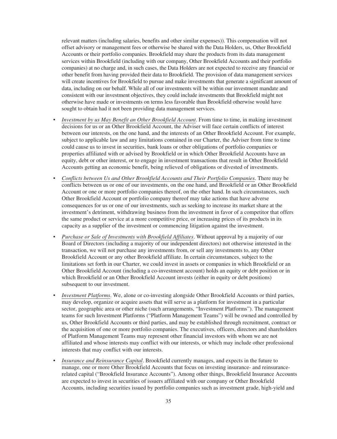relevant matters (including salaries, benefits and other similar expenses)). This compensation will not offset advisory or management fees or otherwise be shared with the Data Holders, us, Other Brookfield Accounts or their portfolio companies. Brookfield may share the products from its data management services within Brookfield (including with our company, Other Brookfield Accounts and their portfolio companies) at no charge and, in such cases, the Data Holders are not expected to receive any financial or other benefit from having provided their data to Brookfield. The provision of data management services will create incentives for Brookfield to pursue and make investments that generate a significant amount of data, including on our behalf. While all of our investments will be within our investment mandate and consistent with our investment objectives, they could include investments that Brookfield might not otherwise have made or investments on terms less favorable than Brookfield otherwise would have sought to obtain had it not been providing data management services.

- *Investment by us May Benefit an Other Brookfield Account*. From time to time, in making investment decisions for us or an Other Brookfield Account, the Adviser will face certain conflicts of interest between our interests, on the one hand, and the interests of an Other Brookfield Account. For example, subject to applicable law and any limitations contained in our Charter, the Adviser from time to time could cause us to invest in securities, bank loans or other obligations of portfolio companies or properties affiliated with or advised by Brookfield or in which Other Brookfield Accounts have an equity, debt or other interest, or to engage in investment transactions that result in Other Brookfield Accounts getting an economic benefit, being relieved of obligations or divested of investments.
- *Conflicts between Us and Other Brookfield Accounts and Their Portfolio Companies*. There may be conflicts between us or one of our investments, on the one hand, and Brookfield or an Other Brookfield Account or one or more portfolio companies thereof, on the other hand. In such circumstances, such Other Brookfield Account or portfolio company thereof may take actions that have adverse consequences for us or one of our investments, such as seeking to increase its market share at the investment's detriment, withdrawing business from the investment in favor of a competitor that offers the same product or service at a more competitive price, or increasing prices of its products in its capacity as a supplier of the investment or commencing litigation against the investment.
- *Purchase or Sale of Investments with Brookfield Affiliates*. Without approval by a majority of our Board of Directors (including a majority of our independent directors) not otherwise interested in the transaction, we will not purchase any investments from, or sell any investments to, any Other Brookfield Account or any other Brookfield affiliate. In certain circumstances, subject to the limitations set forth in our Charter, we could invest in assets or companies in which Brookfield or an Other Brookfield Account (including a co-investment account) holds an equity or debt position or in which Brookfield or an Other Brookfield Account invests (either in equity or debt positions) subsequent to our investment.
- *Investment Platforms*. We, alone or co-investing alongside Other Brookfield Accounts or third parties, may develop, organize or acquire assets that will serve as a platform for investment in a particular sector, geographic area or other niche (such arrangements, "Investment Platforms"). The management teams for such Investment Platforms ("Platform Management Teams") will be owned and controlled by us, Other Brookfield Accounts or third parties, and may be established through recruitment, contract or the acquisition of one or more portfolio companies. The executives, officers, directors and shareholders of Platform Management Teams may represent other financial investors with whom we are not affiliated and whose interests may conflict with our interests, or which may include other professional interests that may conflict with our interests.
- *Insurance and Reinsurance Capital*. Brookfield currently manages, and expects in the future to manage, one or more Other Brookfield Accounts that focus on investing insurance- and reinsurancerelated capital ("Brookfield Insurance Accounts"). Among other things, Brookfield Insurance Accounts are expected to invest in securities of issuers affiliated with our company or Other Brookfield Accounts, including securities issued by portfolio companies such as investment grade, high-yield and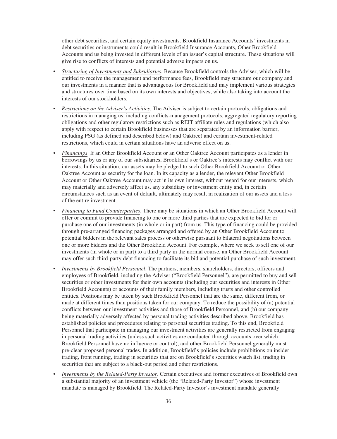other debt securities, and certain equity investments. Brookfield Insurance Accounts' investments in debt securities or instruments could result in Brookfield Insurance Accounts, Other Brookfield Accounts and us being invested in different levels of an issuer's capital structure. These situations will give rise to conflicts of interests and potential adverse impacts on us.

- *Structuring of Investments and Subsidiaries*. Because Brookfield controls the Adviser, which will be entitled to receive the management and performance fees, Brookfield may structure our company and our investments in a manner that is advantageous for Brookfield and may implement various strategies and structures over time based on its own interests and objectives, while also taking into account the interests of our stockholders.
- *Restrictions on the Adviser's Activities*. The Adviser is subject to certain protocols, obligations and restrictions in managing us, including conflicts-management protocols, aggregated regulatory reporting obligations and other regulatory restrictions such as REIT affiliate rules and regulations (which also apply with respect to certain Brookfield businesses that are separated by an information barrier, including PSG (as defined and described below) and Oaktree) and certain investment-related restrictions, which could in certain situations have an adverse effect on us.
- *Financings*. If an Other Brookfield Account or an Other Oaktree Account participates as a lender in borrowings by us or any of our subsidiaries, Brookfield's or Oaktree's interests may conflict with our interests. In this situation, our assets may be pledged to such Other Brookfield Account or Other Oaktree Account as security for the loan. In its capacity as a lender, the relevant Other Brookfield Account or Other Oaktree Account may act in its own interest, without regard for our interests, which may materially and adversely affect us, any subsidiary or investment entity and, in certain circumstances such as an event of default, ultimately may result in realization of our assets and a loss of the entire investment.
- *Financing to Fund Counterparties*. There may be situations in which an Other Brookfield Account will offer or commit to provide financing to one or more third parties that are expected to bid for or purchase one of our investments (in whole or in part) from us. This type of financing could be provided through pre-arranged financing packages arranged and offered by an Other Brookfield Account to potential bidders in the relevant sales process or otherwise pursuant to bilateral negotiations between one or more bidders and the Other Brookfield Account. For example, where we seek to sell one of our investments (in whole or in part) to a third party in the normal course, an Other Brookfield Account may offer such third-party debt financing to facilitate its bid and potential purchase of such investment.
- *Investments by Brookfield Personnel*. The partners, members, shareholders, directors, officers and employees of Brookfield, including the Adviser ("Brookfield Personnel"), are permitted to buy and sell securities or other investments for their own accounts (including our securities and interests in Other Brookfield Accounts) or accounts of their family members, including trusts and other controlled entities. Positions may be taken by such Brookfield Personnel that are the same, different from, or made at different times than positions taken for our company. To reduce the possibility of (a) potential conflicts between our investment activities and those of Brookfield Personnel, and (b) our company being materially adversely affected by personal trading activities described above, Brookfield has established policies and procedures relating to personal securities trading. To this end, Brookfield Personnel that participate in managing our investment activities are generally restricted from engaging in personal trading activities (unless such activities are conducted through accounts over which Brookfield Personnel have no influence or control), and other Brookfield Personnel generally must pre-clear proposed personal trades. In addition, Brookfield's policies include prohibitions on insider trading, front running, trading in securities that are on Brookfield's securities watch list, trading in securities that are subject to a black-out period and other restrictions.
- *Investments by the Related-Party Investor*. Certain executives and former executives of Brookfield own a substantial majority of an investment vehicle (the "Related-Party Investor") whose investment mandate is managed by Brookfield. The Related-Party Investor's investment mandate generally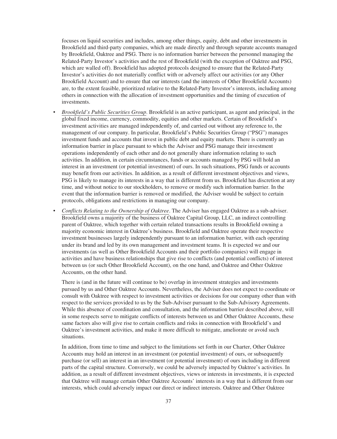focuses on liquid securities and includes, among other things, equity, debt and other investments in Brookfield and third-party companies, which are made directly and through separate accounts managed by Brookfield, Oaktree and PSG. There is no information barrier between the personnel managing the Related-Party Investor's activities and the rest of Brookfield (with the exception of Oaktree and PSG, which are walled off). Brookfield has adopted protocols designed to ensure that the Related-Party Investor's activities do not materially conflict with or adversely affect our activities (or any Other Brookfield Account) and to ensure that our interests (and the interests of Other Brookfield Accounts) are, to the extent feasible, prioritized relative to the Related-Party Investor's interests, including among others in connection with the allocation of investment opportunities and the timing of execution of investments.

- *Brookfield's Public Securities Group*. Brookfield is an active participant, as agent and principal, in the global fixed income, currency, commodity, equities and other markets. Certain of Brookfield's investment activities are managed independently of, and carried out without any reference to, the management of our company. In particular, Brookfield's Public Securities Group ("PSG") manages investment funds and accounts that invest in public debt and equity markets. There is currently an information barrier in place pursuant to which the Adviser and PSG manage their investment operations independently of each other and do not generally share information relating to such activities. In addition, in certain circumstances, funds or accounts managed by PSG will hold an interest in an investment (or potential investment) of ours. In such situations, PSG funds or accounts may benefit from our activities. In addition, as a result of different investment objectives and views, PSG is likely to manage its interests in a way that is different from us. Brookfield has discretion at any time, and without notice to our stockholders, to remove or modify such information barrier. In the event that the information barrier is removed or modified, the Adviser would be subject to certain protocols, obligations and restrictions in managing our company.
- *Conflicts Relating to the Ownership of Oaktree*. The Adviser has engaged Oaktree as a sub-adviser. Brookfield owns a majority of the business of Oaktree Capital Group, LLC, an indirect controlling parent of Oaktree, which together with certain related transactions results in Brookfield owning a majority economic interest in Oaktree's business. Brookfield and Oaktree operate their respective investment businesses largely independently pursuant to an information barrier, with each operating under its brand and led by its own management and investment teams. It is expected we and our investments (as well as Other Brookfield Accounts and their portfolio companies) will engage in activities and have business relationships that give rise to conflicts (and potential conflicts) of interest between us (or such Other Brookfield Account), on the one hand, and Oaktree and Other Oaktree Accounts, on the other hand.

There is (and in the future will continue to be) overlap in investment strategies and investments pursued by us and Other Oaktree Accounts. Nevertheless, the Adviser does not expect to coordinate or consult with Oaktree with respect to investment activities or decisions for our company other than with respect to the services provided to us by the Sub-Adviser pursuant to the Sub-Advisory Agreements. While this absence of coordination and consultation, and the information barrier described above, will in some respects serve to mitigate conflicts of interests between us and Other Oaktree Accounts, these same factors also will give rise to certain conflicts and risks in connection with Brookfield's and Oaktree's investment activities, and make it more difficult to mitigate, ameliorate or avoid such situations.

In addition, from time to time and subject to the limitations set forth in our Charter, Other Oaktree Accounts may hold an interest in an investment (or potential investment) of ours, or subsequently purchase (or sell) an interest in an investment (or potential investment) of ours including in different parts of the capital structure. Conversely, we could be adversely impacted by Oaktree's activities. In addition, as a result of different investment objectives, views or interests in investments, it is expected that Oaktree will manage certain Other Oaktree Accounts' interests in a way that is different from our interests, which could adversely impact our direct or indirect interests. Oaktree and Other Oaktree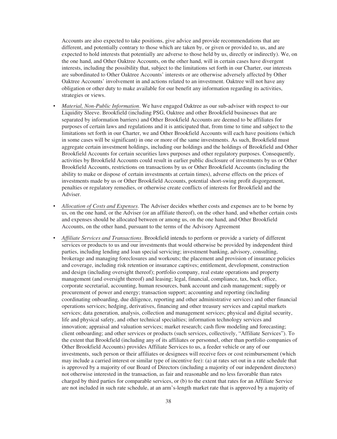Accounts are also expected to take positions, give advice and provide recommendations that are different, and potentially contrary to those which are taken by, or given or provided to, us, and are expected to hold interests that potentially are adverse to those held by us, directly or indirectly). We, on the one hand, and Other Oaktree Accounts, on the other hand, will in certain cases have divergent interests, including the possibility that, subject to the limitations set forth in our Charter, our interests are subordinated to Other Oaktree Accounts' interests or are otherwise adversely affected by Other Oaktree Accounts' involvement in and actions related to an investment. Oaktree will not have any obligation or other duty to make available for our benefit any information regarding its activities, strategies or views.

- *Material, Non-Public Information*. We have engaged Oaktree as our sub-adviser with respect to our Liquidity Sleeve. Brookfield (including PSG, Oaktree and other Brookfield businesses that are separated by information barriers) and Other Brookfield Accounts are deemed to be affiliates for purposes of certain laws and regulations and it is anticipated that, from time to time and subject to the limitations set forth in our Charter, we and Other Brookfield Accounts will each have positions (which in some cases will be significant) in one or more of the same investments. As such, Brookfield must aggregate certain investment holdings, including our holdings and the holdings of Brookfield and Other Brookfield Accounts for certain securities laws purposes and other regulatory purposes. Consequently, activities by Brookfield Accounts could result in earlier public disclosure of investments by us or Other Brookfield Accounts, restrictions on transactions by us or Other Brookfield Accounts (including the ability to make or dispose of certain investments at certain times), adverse effects on the prices of investments made by us or Other Brookfield Accounts, potential short-swing profit disgorgement, penalties or regulatory remedies, or otherwise create conflicts of interests for Brookfield and the Adviser.
- *Allocation of Costs and Expenses*. The Adviser decides whether costs and expenses are to be borne by us, on the one hand, or the Adviser (or an affiliate thereof), on the other hand, and whether certain costs and expenses should be allocated between or among us, on the one hand, and Other Brookfield Accounts, on the other hand, pursuant to the terms of the Advisory Agreement
- *Affiliate Services and Transactions*. Brookfield intends to perform or provide a variety of different services or products to us and our investments that would otherwise be provided by independent third parties, including lending and loan special servicing; investment banking, advisory, consulting, brokerage and managing foreclosures and workouts; the placement and provision of insurance policies and coverage, including risk retention or insurance captives; entitlement, development, construction and design (including oversight thereof); portfolio company, real estate operations and property management (and oversight thereof) and leasing; legal, financial, compliance, tax, back office, corporate secretarial, accounting, human resources, bank account and cash management; supply or procurement of power and energy; transaction support; accounting and reporting (including coordinating onboarding, due diligence, reporting and other administrative services) and other financial operations services; hedging, derivatives, financing and other treasury services and capital markets services; data generation, analysis, collection and management services; physical and digital security, life and physical safety, and other technical specialties; information technology services and innovation; appraisal and valuation services; market research; cash flow modeling and forecasting; client onboarding; and other services or products (such services, collectively, "Affiliate Services"). To the extent that Brookfield (including any of its affiliates or personnel, other than portfolio companies of Other Brookfield Accounts) provides Affiliate Services to us, a feeder vehicle or any of our investments, such person or their affiliates or designees will receive fees or cost reimbursement (which may include a carried interest or similar type of incentive fee): (a) at rates set out in a rate schedule that is approved by a majority of our Board of Directors (including a majority of our independent directors) not otherwise interested in the transaction, as fair and reasonable and no less favorable than rates charged by third parties for comparable services, or (b) to the extent that rates for an Affiliate Service are not included in such rate schedule, at an arm's-length market rate that is approved by a majority of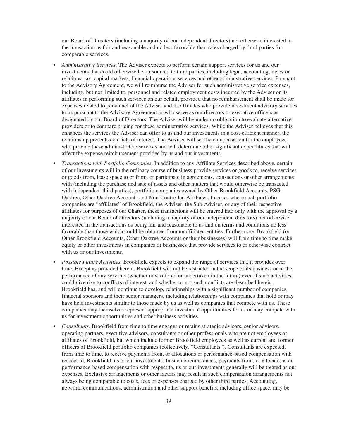our Board of Directors (including a majority of our independent directors) not otherwise interested in the transaction as fair and reasonable and no less favorable than rates charged by third parties for comparable services.

- *Administrative Services*. The Adviser expects to perform certain support services for us and our investments that could otherwise be outsourced to third parties, including legal, accounting, investor relations, tax, capital markets, financial operations services and other administrative services. Pursuant to the Advisory Agreement, we will reimburse the Adviser for such administrative service expenses, including, but not limited to, personnel and related employment costs incurred by the Adviser or its affiliates in performing such services on our behalf, provided that no reimbursement shall be made for expenses related to personnel of the Adviser and its affiliates who provide investment advisory services to us pursuant to the Advisory Agreement or who serve as our directors or executive officers as designated by our Board of Directors. The Adviser will be under no obligation to evaluate alternative providers or to compare pricing for these administrative services. While the Adviser believes that this enhances the services the Adviser can offer to us and our investments in a cost-efficient manner, the relationship presents conflicts of interest. The Adviser will set the compensation for the employees who provide these administrative services and will determine other significant expenditures that will affect the expense reimbursement provided by us and our investments.
- *Transactions with Portfolio Companies*. In addition to any Affiliate Services described above, certain of our investments will in the ordinary course of business provide services or goods to, receive services or goods from, lease space to or from, or participate in agreements, transactions or other arrangements with (including the purchase and sale of assets and other matters that would otherwise be transacted with independent third parties), portfolio companies owned by Other Brookfield Accounts, PSG, Oaktree, Other Oaktree Accounts and Non-Controlled Affiliates. In cases where such portfolio companies are "affiliates" of Brookfield, the Adviser, the Sub-Adviser, or any of their respective affiliates for purposes of our Charter, these transactions will be entered into only with the approval by a majority of our Board of Directors (including a majority of our independent directors) not otherwise interested in the transactions as being fair and reasonable to us and on terms and conditions no less favorable than those which could be obtained from unaffiliated entities. Furthermore, Brookfield (or Other Brookfield Accounts, Other Oaktree Accounts or their businesses) will from time to time make equity or other investments in companies or businesses that provide services to or otherwise contract with us or our investments.
- *Possible Future Activities*. Brookfield expects to expand the range of services that it provides over time. Except as provided herein, Brookfield will not be restricted in the scope of its business or in the performance of any services (whether now offered or undertaken in the future) even if such activities could give rise to conflicts of interest, and whether or not such conflicts are described herein. Brookfield has, and will continue to develop, relationships with a significant number of companies, financial sponsors and their senior managers, including relationships with companies that hold or may have held investments similar to those made by us as well as companies that compete with us. These companies may themselves represent appropriate investment opportunities for us or may compete with us for investment opportunities and other business activities.
- *Consultants*. Brookfield from time to time engages or retains strategic advisors, senior advisors, operating partners, executive advisors, consultants or other professionals who are not employees or affiliates of Brookfield, but which include former Brookfield employees as well as current and former officers of Brookfield portfolio companies (collectively, "Consultants"). Consultants are expected, from time to time, to receive payments from, or allocations or performance-based compensation with respect to, Brookfield, us or our investments. In such circumstances, payments from, or allocations or performance-based compensation with respect to, us or our investments generally will be treated as our expenses. Exclusive arrangements or other factors may result in such compensation arrangements not always being comparable to costs, fees or expenses charged by other third parties. Accounting, network, communications, administration and other support benefits, including office space, may be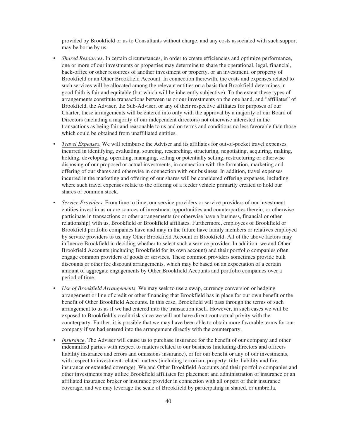provided by Brookfield or us to Consultants without charge, and any costs associated with such support may be borne by us.

- *Shared Resources*. In certain circumstances, in order to create efficiencies and optimize performance, one or more of our investments or properties may determine to share the operational, legal, financial, back-office or other resources of another investment or property, or an investment, or property of Brookfield or an Other Brookfield Account. In connection therewith, the costs and expenses related to such services will be allocated among the relevant entities on a basis that Brookfield determines in good faith is fair and equitable (but which will be inherently subjective). To the extent these types of arrangements constitute transactions between us or our investments on the one hand, and "affiliates" of Brookfield, the Adviser, the Sub-Adviser, or any of their respective affiliates for purposes of our Charter, these arrangements will be entered into only with the approval by a majority of our Board of Directors (including a majority of our independent directors) not otherwise interested in the transactions as being fair and reasonable to us and on terms and conditions no less favorable than those which could be obtained from unaffiliated entities.
- *Travel Expenses*. We will reimburse the Adviser and its affiliates for out-of-pocket travel expenses incurred in identifying, evaluating, sourcing, researching, structuring, negotiating, acquiring, making, holding, developing, operating, managing, selling or potentially selling, restructuring or otherwise disposing of our proposed or actual investments, in connection with the formation, marketing and offering of our shares and otherwise in connection with our business. In addition, travel expenses incurred in the marketing and offering of our shares will be considered offering expenses, including where such travel expenses relate to the offering of a feeder vehicle primarily created to hold our shares of common stock.
- *Service Providers*. From time to time, our service providers or service providers of our investment entities invest in us or are sources of investment opportunities and counterparties therein, or otherwise participate in transactions or other arrangements (or otherwise have a business, financial or other relationship) with us, Brookfield or Brookfield affiliates. Furthermore, employees of Brookfield or Brookfield portfolio companies have and may in the future have family members or relatives employed by service providers to us, any Other Brookfield Account or Brookfield. All of the above factors may influence Brookfield in deciding whether to select such a service provider. In addition, we and Other Brookfield Accounts (including Brookfield for its own account) and their portfolio companies often engage common providers of goods or services. These common providers sometimes provide bulk discounts or other fee discount arrangements, which may be based on an expectation of a certain amount of aggregate engagements by Other Brookfield Accounts and portfolio companies over a period of time.
- *Use of Brookfield Arrangements*. We may seek to use a swap, currency conversion or hedging arrangement or line of credit or other financing that Brookfield has in place for our own benefit or the benefit of Other Brookfield Accounts. In this case, Brookfield will pass through the terms of such arrangement to us as if we had entered into the transaction itself. However, in such cases we will be exposed to Brookfield's credit risk since we will not have direct contractual privity with the counterparty. Further, it is possible that we may have been able to obtain more favorable terms for our company if we had entered into the arrangement directly with the counterparty.
- *Insurance*. The Adviser will cause us to purchase insurance for the benefit of our company and other indemnified parties with respect to matters related to our business (including directors and officers liability insurance and errors and omissions insurance), or for our benefit or any of our investments, with respect to investment-related matters (including terrorism, property, title, liability and fire insurance or extended coverage). We and Other Brookfield Accounts and their portfolio companies and other investments may utilize Brookfield affiliates for placement and administration of insurance or an affiliated insurance broker or insurance provider in connection with all or part of their insurance coverage, and we may leverage the scale of Brookfield by participating in shared, or umbrella,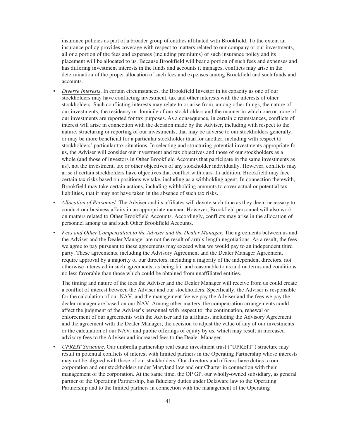insurance policies as part of a broader group of entities affiliated with Brookfield. To the extent an insurance policy provides coverage with respect to matters related to our company or our investments, all or a portion of the fees and expenses (including premiums) of such insurance policy and its placement will be allocated to us. Because Brookfield will bear a portion of such fees and expenses and has differing investment interests in the funds and accounts it manages, conflicts may arise in the determination of the proper allocation of such fees and expenses among Brookfield and such funds and accounts.

- *Diverse Interests*. In certain circumstances, the Brookfield Investor in its capacity as one of our stockholders may have conflicting investment, tax and other interests with the interests of other stockholders. Such conflicting interests may relate to or arise from, among other things, the nature of our investments, the residency or domicile of our stockholders and the manner in which one or more of our investments are reported for tax purposes. As a consequence, in certain circumstances, conflicts of interest will arise in connection with the decision made by the Adviser, including with respect to the nature, structuring or reporting of our investments, that may be adverse to our stockholders generally, or may be more beneficial for a particular stockholder than for another, including with respect to stockholders' particular tax situations. In selecting and structuring potential investments appropriate for us, the Adviser will consider our investment and tax objectives and those of our stockholders as a whole (and those of investors in Other Brookfield Accounts that participate in the same investments as us), not the investment, tax or other objectives of any stockholder individually. However, conflicts may arise if certain stockholders have objectives that conflict with ours. In addition, Brookfield may face certain tax risks based on positions we take, including as a withholding agent. In connection therewith, Brookfield may take certain actions, including withholding amounts to cover actual or potential tax liabilities, that it may not have taken in the absence of such tax risks.
- *Allocation of Personnel*. The Adviser and its affiliates will devote such time as they deem necessary to conduct our business affairs in an appropriate manner. However, Brookfield personnel will also work on matters related to Other Brookfield Accounts. Accordingly, conflicts may arise in the allocation of personnel among us and such Other Brookfield Accounts.
- *Fees and Other Compensation to the Adviser and the Dealer Manager*. The agreements between us and the Adviser and the Dealer Manager are not the result of arm's-length negotiations. As a result, the fees we agree to pay pursuant to these agreements may exceed what we would pay to an independent third party. These agreements, including the Advisory Agreement and the Dealer Manager Agreement, require approval by a majority of our directors, including a majority of the independent directors, not otherwise interested in such agreements, as being fair and reasonable to us and on terms and conditions no less favorable than those which could be obtained from unaffiliated entities.

The timing and nature of the fees the Adviser and the Dealer Manager will receive from us could create a conflict of interest between the Adviser and our stockholders. Specifically, the Adviser is responsible for the calculation of our NAV, and the management fee we pay the Adviser and the fees we pay the dealer manager are based on our NAV. Among other matters, the compensation arrangements could affect the judgment of the Adviser's personnel with respect to: the continuation, renewal or enforcement of our agreements with the Adviser and its affiliates, including the Advisory Agreement and the agreement with the Dealer Manager; the decision to adjust the value of any of our investments or the calculation of our NAV; and public offerings of equity by us, which may result in increased advisory fees to the Adviser and increased fees to the Dealer Manager.

• *UPREIT Structure*. Our umbrella partnership real estate investment trust ("UPREIT") structure may result in potential conflicts of interest with limited partners in the Operating Partnership whose interests may not be aligned with those of our stockholders. Our directors and officers have duties to our corporation and our stockholders under Maryland law and our Charter in connection with their management of the corporation. At the same time, the OP GP, our wholly-owned subsidiary, as general partner of the Operating Partnership, has fiduciary duties under Delaware law to the Operating Partnership and to the limited partners in connection with the management of the Operating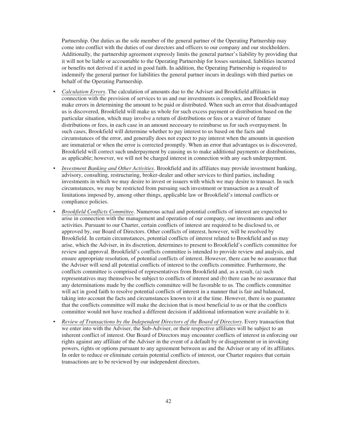Partnership. Our duties as the sole member of the general partner of the Operating Partnership may come into conflict with the duties of our directors and officers to our company and our stockholders. Additionally, the partnership agreement expressly limits the general partner's liability by providing that it will not be liable or accountable to the Operating Partnership for losses sustained, liabilities incurred or benefits not derived if it acted in good faith. In addition, the Operating Partnership is required to indemnify the general partner for liabilities the general partner incurs in dealings with third parties on behalf of the Operating Partnership.

- *Calculation Errors*. The calculation of amounts due to the Adviser and Brookfield affiliates in connection with the provision of services to us and our investments is complex, and Brookfield may make errors in determining the amount to be paid or distributed. When such an error that disadvantaged us is discovered, Brookfield will make us whole for such excess payment or distribution based on the particular situation, which may involve a return of distributions or fees or a waiver of future distributions or fees, in each case in an amount necessary to reimburse us for such overpayment. In such cases, Brookfield will determine whether to pay interest to us based on the facts and circumstances of the error, and generally does not expect to pay interest when the amounts in question are immaterial or when the error is corrected promptly. When an error that advantages us is discovered, Brookfield will correct such underpayment by causing us to make additional payments or distributions, as applicable; however, we will not be charged interest in connection with any such underpayment.
- *Investment Banking and Other Activities*. Brookfield and its affiliates may provide investment banking, advisory, consulting, restructuring, broker-dealer and other services to third parties, including investments in which we may desire to invest or issuers with which we may desire to transact. In such circumstances, we may be restricted from pursuing such investment or transaction as a result of limitations imposed by, among other things, applicable law or Brookfield's internal conflicts or compliance policies.
- *Brookfield Conflicts Committee*. Numerous actual and potential conflicts of interest are expected to arise in connection with the management and operation of our company, our investments and other activities. Pursuant to our Charter, certain conflicts of interest are required to be disclosed to, or approved by, our Board of Directors. Other conflicts of interest, however, will be resolved by Brookfield. In certain circumstances, potential conflicts of interest related to Brookfield and us may arise, which the Adviser, in its discretion, determines to present to Brookfield's conflicts committee for review and approval. Brookfield's conflicts committee is intended to provide review and analysis, and ensure appropriate resolution, of potential conflicts of interest. However, there can be no assurance that the Adviser will send all potential conflicts of interest to the conflicts committee. Furthermore, the conflicts committee is comprised of representatives from Brookfield and, as a result, (a) such representatives may themselves be subject to conflicts of interest and (b) there can be no assurance that any determinations made by the conflicts committee will be favorable to us. The conflicts committee will act in good faith to resolve potential conflicts of interest in a manner that is fair and balanced, taking into account the facts and circumstances known to it at the time. However, there is no guarantee that the conflicts committee will make the decision that is most beneficial to us or that the conflicts committee would not have reached a different decision if additional information were available to it.
- *Review of Transactions by the Independent Directors of the Board of Directors*. Every transaction that we enter into with the Adviser, the Sub-Adviser, or their respective affiliates will be subject to an inherent conflict of interest. Our Board of Directors may encounter conflicts of interest in enforcing our rights against any affiliate of the Adviser in the event of a default by or disagreement or in invoking powers, rights or options pursuant to any agreement between us and the Adviser or any of its affiliates. In order to reduce or eliminate certain potential conflicts of interest, our Charter requires that certain transactions are to be reviewed by our independent directors.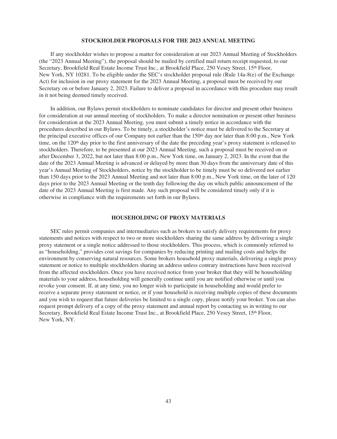#### **STOCKHOLDER PROPOSALS FOR THE 2023 ANNUAL MEETING**

<span id="page-49-0"></span>If any stockholder wishes to propose a matter for consideration at our 2023 Annual Meeting of Stockholders (the "2023 Annual Meeting"), the proposal should be mailed by certified mail return receipt requested, to our Secretary, Brookfield Real Estate Income Trust Inc., at Brookfield Place, 250 Vesey Street, 15th Floor, New York, NY 10281. To be eligible under the SEC's stockholder proposal rule (Rule 14a-8(e) of the Exchange Act) for inclusion in our proxy statement for the 2023 Annual Meeting, a proposal must be received by our Secretary on or before January 2, 2023. Failure to deliver a proposal in accordance with this procedure may result in it not being deemed timely received.

In addition, our Bylaws permit stockholders to nominate candidates for director and present other business for consideration at our annual meeting of stockholders. To make a director nomination or present other business for consideration at the 2023 Annual Meeting, you must submit a timely notice in accordance with the procedures described in our Bylaws. To be timely, a stockholder's notice must be delivered to the Secretary at the principal executive offices of our Company not earlier than the 150<sup>th</sup> day nor later than 8:00 p.m., New York time, on the 120<sup>th</sup> day prior to the first anniversary of the date the preceding year's proxy statement is released to stockholders. Therefore, to be presented at our 2023 Annual Meeting, such a proposal must be received on or after December 3, 2022, but not later than 8:00 p.m., New York time, on January 2, 2023. In the event that the date of the 2023 Annual Meeting is advanced or delayed by more than 30 days from the anniversary date of this year's Annual Meeting of Stockholders, notice by the stockholder to be timely must be so delivered not earlier than 150 days prior to the 2023 Annual Meeting and not later than 8:00 p.m., New York time, on the later of 120 days prior to the 2023 Annual Meeting or the tenth day following the day on which public announcement of the date of the 2023 Annual Meeting is first made. Any such proposal will be considered timely only if it is otherwise in compliance with the requirements set forth in our Bylaws.

#### **HOUSEHOLDING OF PROXY MATERIALS**

<span id="page-49-1"></span>SEC rules permit companies and intermediaries such as brokers to satisfy delivery requirements for proxy statements and notices with respect to two or more stockholders sharing the same address by delivering a single proxy statement or a single notice addressed to those stockholders. This process, which is commonly referred to as "householding," provides cost savings for companies by reducing printing and mailing costs and helps the environment by conserving natural resources. Some brokers household proxy materials, delivering a single proxy statement or notice to multiple stockholders sharing an address unless contrary instructions have been received from the affected stockholders. Once you have received notice from your broker that they will be householding materials to your address, householding will generally continue until you are notified otherwise or until you revoke your consent. If, at any time, you no longer wish to participate in householding and would prefer to receive a separate proxy statement or notice, or if your household is receiving multiple copies of these documents and you wish to request that future deliveries be limited to a single copy, please notify your broker. You can also request prompt delivery of a copy of the proxy statement and annual report by contacting us in writing to our Secretary, Brookfield Real Estate Income Trust Inc., at Brookfield Place, 250 Vesey Street, 15th Floor, New York, NY.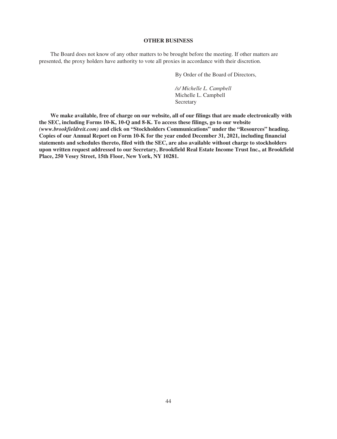#### **OTHER BUSINESS**

<span id="page-50-0"></span>The Board does not know of any other matters to be brought before the meeting. If other matters are presented, the proxy holders have authority to vote all proxies in accordance with their discretion.

By Order of the Board of Directors,

*/s/ Michelle L. Campbell* Michelle L. Campbell Secretary

**We make available, free of charge on our website, all of our filings that are made electronically with the SEC, including Forms 10-K, 10-Q and 8-K. To access these filings, go to our website** *(www.brookfieldreit.com)* **and click on "Stockholders Communications" under the "Resources" heading. Copies of our Annual Report on Form 10-K for the year ended December 31, 2021, including financial statements and schedules thereto, filed with the SEC, are also available without charge to stockholders upon written request addressed to our Secretary, Brookfield Real Estate Income Trust Inc., at Brookfield Place, 250 Vesey Street, 15th Floor, New York, NY 10281.**